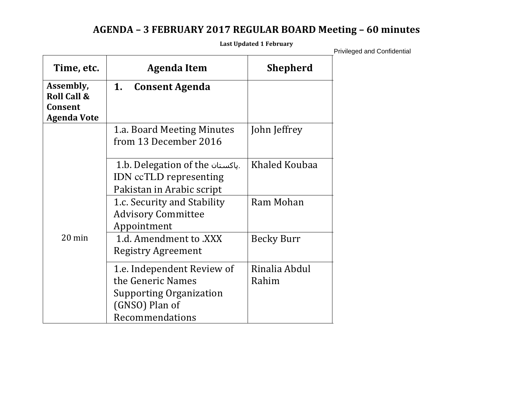# **AGENDA – 3 FEBRUARY 2017 REGULAR BOARD Meeting – 60 minutes**

**Last Updated 1 February**

| Time, etc.                                            | Agenda Item                                                                                                            | <b>Shepherd</b>        |
|-------------------------------------------------------|------------------------------------------------------------------------------------------------------------------------|------------------------|
| Assembly,<br><b>Roll Call &amp;</b><br><b>Consent</b> | 1.<br><b>Consent Agenda</b>                                                                                            |                        |
| <b>Agenda Vote</b>                                    |                                                                                                                        |                        |
|                                                       | 1.a. Board Meeting Minutes<br>from 13 December 2016                                                                    | John Jeffrey           |
|                                                       | 1.b. Delegation of the باكستان.<br>IDN ccTLD representing<br>Pakistan in Arabic script                                 | Khaled Koubaa          |
|                                                       | 1.c. Security and Stability<br><b>Advisory Committee</b><br>Appointment                                                | Ram Mohan              |
| $20 \text{ min}$                                      | 1.d. Amendment to .XXX<br><b>Registry Agreement</b>                                                                    | <b>Becky Burr</b>      |
|                                                       | 1.e. Independent Review of<br>the Generic Names<br><b>Supporting Organization</b><br>(GNSO) Plan of<br>Recommendations | Rinalia Abdul<br>Rahim |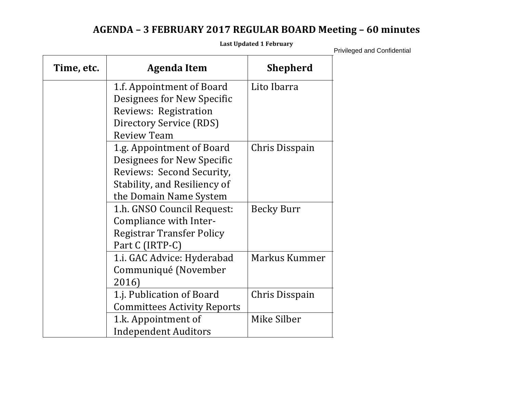# **AGENDA – 3 FEBRUARY 2017 REGULAR BOARD Meeting – 60 minutes**

**Last Updated 1 February**

| Time, etc. | <b>Agenda Item</b>                 | <b>Shepherd</b> |
|------------|------------------------------------|-----------------|
|            | 1.f. Appointment of Board          | Lito Ibarra     |
|            | <b>Designees for New Specific</b>  |                 |
|            | Reviews: Registration              |                 |
|            | Directory Service (RDS)            |                 |
|            | <b>Review Team</b>                 |                 |
|            | 1.g. Appointment of Board          | Chris Disspain  |
|            | Designees for New Specific         |                 |
|            | Reviews: Second Security,          |                 |
|            | Stability, and Resiliency of       |                 |
|            | the Domain Name System             |                 |
|            | 1.h. GNSO Council Request:         | Becky Burr      |
|            | Compliance with Inter-             |                 |
|            | <b>Registrar Transfer Policy</b>   |                 |
|            | Part C (IRTP-C)                    |                 |
|            | 1.i. GAC Advice: Hyderabad         | Markus Kummer   |
|            | Communiqué (November               |                 |
|            | 2016)                              |                 |
|            | 1.j. Publication of Board          | Chris Disspain  |
|            | <b>Committees Activity Reports</b> |                 |
|            | 1.k. Appointment of                | Mike Silber     |
|            | <b>Independent Auditors</b>        |                 |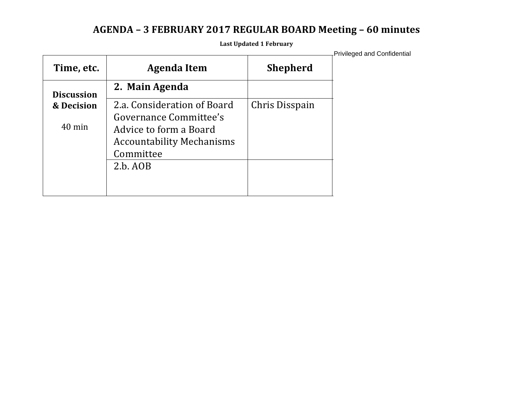# **AGENDA – 3 FEBRUARY 2017 REGULAR BOARD Meeting – 60 minutes**

**Last Updated 1 February**

| Time, etc.        | <b>Agenda Item</b>               | <b>Shepherd</b> |
|-------------------|----------------------------------|-----------------|
| <b>Discussion</b> | 2. Main Agenda                   |                 |
| & Decision        | 2.a. Consideration of Board      | Chris Disspain  |
| $40 \text{ min}$  | Governance Committee's           |                 |
|                   | Advice to form a Board           |                 |
|                   | <b>Accountability Mechanisms</b> |                 |
|                   | Committee                        |                 |
|                   | 2.b. AOB                         |                 |
|                   |                                  |                 |
|                   |                                  |                 |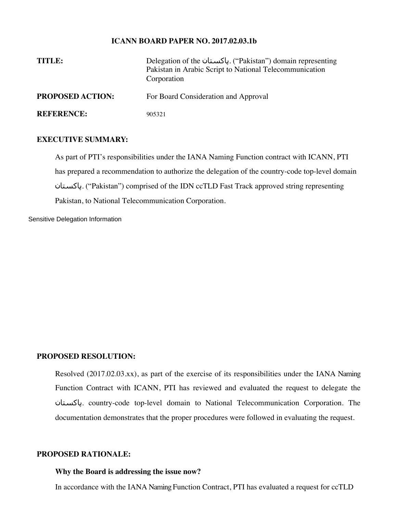#### **ICANN BOARD PAPER NO. 2017.02.03.1b**

| TITLE:                  | Delegation of the ULL ("Pakistan") domain representing<br>Pakistan in Arabic Script to National Telecommunication<br>Corporation |
|-------------------------|----------------------------------------------------------------------------------------------------------------------------------|
| <b>PROPOSED ACTION:</b> | For Board Consideration and Approval                                                                                             |
| <b>REFERENCE:</b>       | 905321                                                                                                                           |

### **EXECUTIVE SUMMARY:**

As part of PTI's responsibilities under the IANA Naming Function contract with ICANN, PTI has prepared a recommendation to authorize the delegation of the country-code top-level domain پاکستان.") Pakistan") comprised of the IDN ccTLD Fast Track approved string representing Pakistan, to National Telecommunication Corporation.

Sensitive Delegation Information

### **PROPOSED RESOLUTION:**

Resolved (2017.02.03.xx), as part of the exercise of its responsibilities under the IANA Naming Function Contract with ICANN, PTI has reviewed and evaluated the request to delegate the پاکستان. country-code top-level domain to National Telecommunication Corporation. The documentation demonstrates that the proper procedures were followed in evaluating the request.

# **PROPOSED RATIONALE:**

#### **Why the Board is addressing the issue now?**

In accordance with the IANA Naming Function Contract, PTI has evaluated a request for ccTLD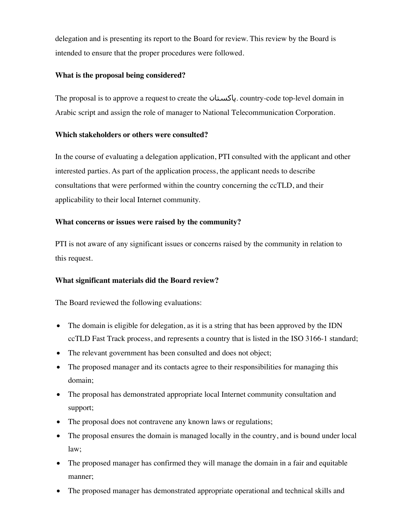delegation and is presenting its report to the Board for review. This review by the Board is intended to ensure that the proper procedures were followed.

# **What is the proposal being considered?**

The proposal is to approve a request to create the پاکستان. country-code top-level domain in Arabic script and assign the role of manager to National Telecommunication Corporation.

# **Which stakeholders or others were consulted?**

In the course of evaluating a delegation application, PTI consulted with the applicant and other interested parties. As part of the application process, the applicant needs to describe consultations that were performed within the country concerning the ccTLD, and their applicability to their local Internet community.

# **What concerns or issues were raised by the community?**

PTI is not aware of any significant issues or concerns raised by the community in relation to this request.

# **What significant materials did the Board review?**

The Board reviewed the following evaluations:

- The domain is eligible for delegation, as it is a string that has been approved by the IDN ccTLD Fast Track process, and represents a country that is listed in the ISO 3166-1 standard;
- The relevant government has been consulted and does not object;
- The proposed manager and its contacts agree to their responsibilities for managing this domain;
- The proposal has demonstrated appropriate local Internet community consultation and support;
- The proposal does not contravene any known laws or regulations;
- The proposal ensures the domain is managed locally in the country, and is bound under local law;
- The proposed manager has confirmed they will manage the domain in a fair and equitable manner;
- The proposed manager has demonstrated appropriate operational and technical skills and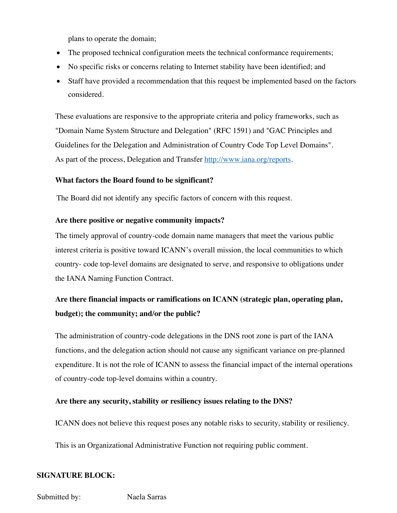plans to operate the domain;

- The proposed technical configuration meets the technical conformance requirements;
- No specific risks or concerns relating to Internet stability have been identified; and
- Staff have provided a recommendation that this request be implemented based on the factors considered.

These evaluations are responsive to the appropriate criteria and policy frameworks, such as "Domain Name System Structure and Delegation" (RFC 1591) and "GAC Principles and Guidelines for the Delegation and Administration of Country Code Top Level Domains". As part of the process, Delegation and Transfer http://www.iana.org/reports.

# **What factors the Board found to be significant?**

The Board did not identify any specific factors of concern with this request.

# **Are there positive or negative community impacts?**

The timely approval of country-code domain name managers that meet the various public interest criteria is positive toward ICANN's overall mission, the local communities to which country- code top-level domains are designated to serve, and responsive to obligations under the IANA Naming Function Contract.

# **Are there financial impacts or ramifications on ICANN (strategic plan, operating plan, budget); the community; and/or the public?**

The administration of country-code delegations in the DNS root zone is part of the IANA functions, and the delegation action should not cause any significant variance on pre-planned expenditure. It is not the role of ICANN to assess the financial impact of the internal operations of country-code top-level domains within a country.

# **Are there any security, stability or resiliency issues relating to the DNS?**

ICANN does not believe this request poses any notable risks to security, stability or resiliency.

This is an Organizational Administrative Function not requiring public comment.

# **SIGNATURE BLOCK:**

Submitted by: Naela Sarras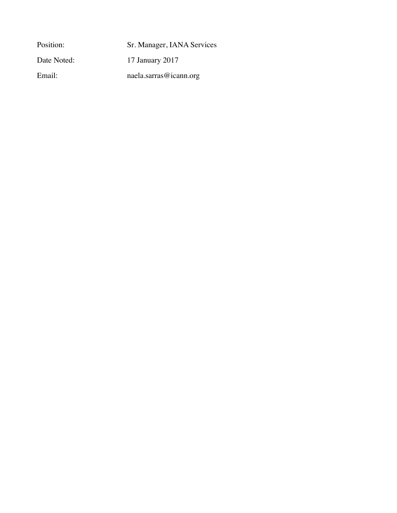Position: Sr. Manager, IANA Services Date Noted: 17 January 2017 Email: naela.sarras@icann.org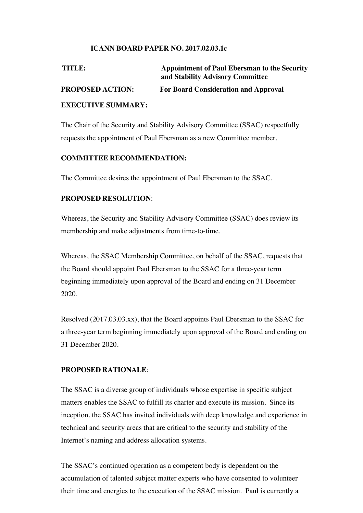# **ICANN BOARD PAPER NO. 2017.02.03.1c**

| TITLE:                  | <b>Appointment of Paul Ebersman to the Security</b><br>and Stability Advisory Committee |
|-------------------------|-----------------------------------------------------------------------------------------|
| <b>PROPOSED ACTION:</b> | <b>For Board Consideration and Approval</b>                                             |
| <b>EVECUTE CHAAL BY</b> |                                                                                         |

### **EXECUTIVE SUMMARY:**

The Chair of the Security and Stability Advisory Committee (SSAC) respectfully requests the appointment of Paul Ebersman as a new Committee member.

# **COMMITTEE RECOMMENDATION:**

The Committee desires the appointment of Paul Ebersman to the SSAC.

# **PROPOSED RESOLUTION**:

Whereas, the Security and Stability Advisory Committee (SSAC) does review its membership and make adjustments from time-to-time.

Whereas, the SSAC Membership Committee, on behalf of the SSAC, requests that the Board should appoint Paul Ebersman to the SSAC for a three-year term beginning immediately upon approval of the Board and ending on 31 December 2020.

Resolved (2017.03.03.xx), that the Board appoints Paul Ebersman to the SSAC for a three-year term beginning immediately upon approval of the Board and ending on 31 December 2020.

#### **PROPOSED RATIONALE**:

The SSAC is a diverse group of individuals whose expertise in specific subject matters enables the SSAC to fulfill its charter and execute its mission. Since its inception, the SSAC has invited individuals with deep knowledge and experience in technical and security areas that are critical to the security and stability of the Internet's naming and address allocation systems.

The SSAC's continued operation as a competent body is dependent on the accumulation of talented subject matter experts who have consented to volunteer their time and energies to the execution of the SSAC mission. Paul is currently a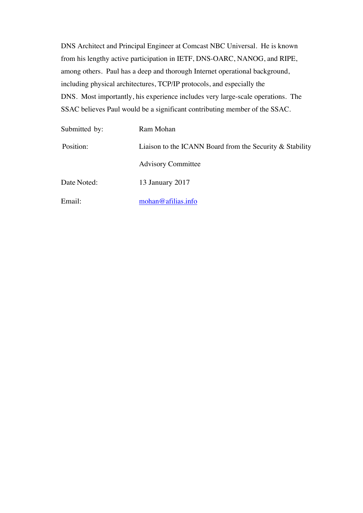DNS Architect and Principal Engineer at Comcast NBC Universal. He is known from his lengthy active participation in IETF, DNS-OARC, NANOG, and RIPE, among others. Paul has a deep and thorough Internet operational background, including physical architectures, TCP/IP protocols, and especially the DNS. Most importantly, his experience includes very large-scale operations. The SSAC believes Paul would be a significant contributing member of the SSAC.

| Submitted by: | Ram Mohan                                                   |
|---------------|-------------------------------------------------------------|
| Position:     | Liaison to the ICANN Board from the Security $\&$ Stability |
|               | <b>Advisory Committee</b>                                   |
| Date Noted:   | 13 January 2017                                             |
| Email:        | mohan@afilias.info                                          |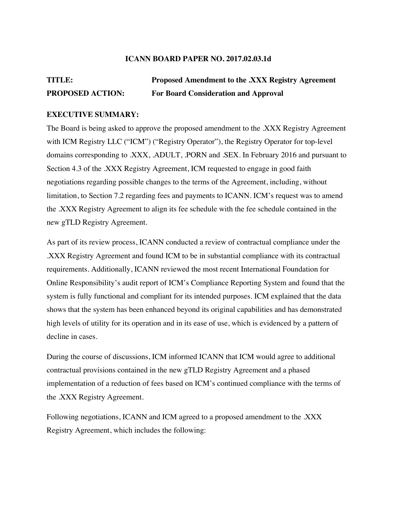#### **ICANN BOARD PAPER NO. 2017.02.03.1d**

# **TITLE: Proposed Amendment to the .XXX Registry Agreement PROPOSED ACTION: For Board Consideration and Approval**

#### **EXECUTIVE SUMMARY:**

The Board is being asked to approve the proposed amendment to the .XXX Registry Agreement with ICM Registry LLC ("ICM") ("Registry Operator"), the Registry Operator for top-level domains corresponding to .XXX, .ADULT, .PORN and .SEX. In February 2016 and pursuant to Section 4.3 of the .XXX Registry Agreement, ICM requested to engage in good faith negotiations regarding possible changes to the terms of the Agreement, including, without limitation, to Section 7.2 regarding fees and payments to ICANN. ICM's request was to amend the .XXX Registry Agreement to align its fee schedule with the fee schedule contained in the new gTLD Registry Agreement.

As part of its review process, ICANN conducted a review of contractual compliance under the .XXX Registry Agreement and found ICM to be in substantial compliance with its contractual requirements. Additionally, ICANN reviewed the most recent International Foundation for Online Responsibility's audit report of ICM's Compliance Reporting System and found that the system is fully functional and compliant for its intended purposes. ICM explained that the data shows that the system has been enhanced beyond its original capabilities and has demonstrated high levels of utility for its operation and in its ease of use, which is evidenced by a pattern of decline in cases.

During the course of discussions, ICM informed ICANN that ICM would agree to additional contractual provisions contained in the new gTLD Registry Agreement and a phased implementation of a reduction of fees based on ICM's continued compliance with the terms of the .XXX Registry Agreement.

Following negotiations, ICANN and ICM agreed to a proposed amendment to the .XXX Registry Agreement, which includes the following: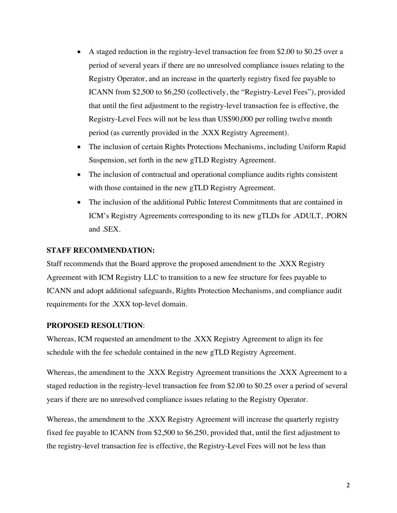- A staged reduction in the registry-level transaction fee from \$2.00 to \$0.25 over a period of several years if there are no unresolved compliance issues relating to the Registry Operator, and an increase in the quarterly registry fixed fee payable to ICANN from \$2,500 to \$6,250 (collectively, the "Registry-Level Fees"), provided that until the first adjustment to the registry-level transaction fee is effective, the Registry-Level Fees will not be less than US\$90,000 per rolling twelve month period (as currently provided in the .XXX Registry Agreement).
- The inclusion of certain Rights Protections Mechanisms, including Uniform Rapid Suspension, set forth in the new gTLD Registry Agreement.
- The inclusion of contractual and operational compliance audits rights consistent with those contained in the new gTLD Registry Agreement.
- The inclusion of the additional Public Interest Commitments that are contained in ICM's Registry Agreements corresponding to its new gTLDs for .ADULT, .PORN and .SEX.

### **STAFF RECOMMENDATION:**

Staff recommends that the Board approve the proposed amendment to the .XXX Registry Agreement with ICM Registry LLC to transition to a new fee structure for fees payable to ICANN and adopt additional safeguards, Rights Protection Mechanisms, and compliance audit requirements for the .XXX top-level domain.

#### **PROPOSED RESOLUTION**:

Whereas, ICM requested an amendment to the .XXX Registry Agreement to align its fee schedule with the fee schedule contained in the new gTLD Registry Agreement.

Whereas, the amendment to the .XXX Registry Agreement transitions the .XXX Agreement to a staged reduction in the registry-level transaction fee from \$2.00 to \$0.25 over a period of several years if there are no unresolved compliance issues relating to the Registry Operator.

Whereas, the amendment to the .XXX Registry Agreement will increase the quarterly registry fixed fee payable to ICANN from \$2,500 to \$6,250, provided that, until the first adjustment to the registry-level transaction fee is effective, the Registry-Level Fees will not be less than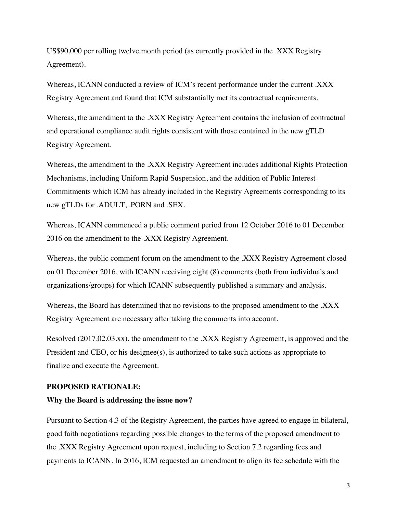US\$90,000 per rolling twelve month period (as currently provided in the .XXX Registry Agreement).

Whereas, ICANN conducted a review of ICM's recent performance under the current .XXX Registry Agreement and found that ICM substantially met its contractual requirements.

Whereas, the amendment to the .XXX Registry Agreement contains the inclusion of contractual and operational compliance audit rights consistent with those contained in the new gTLD Registry Agreement.

Whereas, the amendment to the .XXX Registry Agreement includes additional Rights Protection Mechanisms, including Uniform Rapid Suspension, and the addition of Public Interest Commitments which ICM has already included in the Registry Agreements corresponding to its new gTLDs for .ADULT, .PORN and .SEX.

Whereas, ICANN commenced a public comment period from 12 October 2016 to 01 December 2016 on the amendment to the .XXX Registry Agreement.

Whereas, the public comment forum on the amendment to the .XXX Registry Agreement closed on 01 December 2016, with ICANN receiving eight (8) comments (both from individuals and organizations/groups) for which ICANN subsequently published a summary and analysis.

Whereas, the Board has determined that no revisions to the proposed amendment to the .XXX Registry Agreement are necessary after taking the comments into account.

Resolved (2017.02.03.xx), the amendment to the .XXX Registry Agreement, is approved and the President and CEO, or his designee(s), is authorized to take such actions as appropriate to finalize and execute the Agreement.

#### **PROPOSED RATIONALE:**

#### **Why the Board is addressing the issue now?**

Pursuant to Section 4.3 of the Registry Agreement, the parties have agreed to engage in bilateral, good faith negotiations regarding possible changes to the terms of the proposed amendment to the .XXX Registry Agreement upon request, including to Section 7.2 regarding fees and payments to ICANN. In 2016, ICM requested an amendment to align its fee schedule with the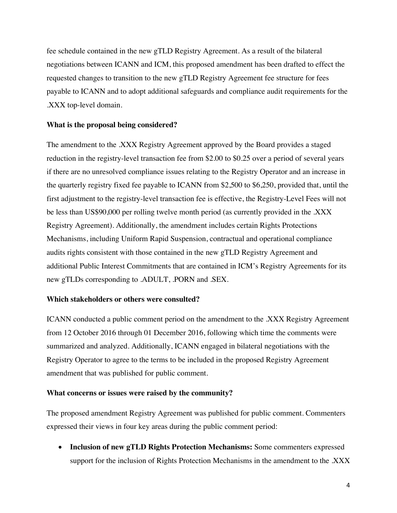fee schedule contained in the new gTLD Registry Agreement. As a result of the bilateral negotiations between ICANN and ICM, this proposed amendment has been drafted to effect the requested changes to transition to the new gTLD Registry Agreement fee structure for fees payable to ICANN and to adopt additional safeguards and compliance audit requirements for the .XXX top-level domain.

# **What is the proposal being considered?**

The amendment to the .XXX Registry Agreement approved by the Board provides a staged reduction in the registry-level transaction fee from \$2.00 to \$0.25 over a period of several years if there are no unresolved compliance issues relating to the Registry Operator and an increase in the quarterly registry fixed fee payable to ICANN from \$2,500 to \$6,250, provided that, until the first adjustment to the registry-level transaction fee is effective, the Registry-Level Fees will not be less than US\$90,000 per rolling twelve month period (as currently provided in the .XXX Registry Agreement). Additionally, the amendment includes certain Rights Protections Mechanisms, including Uniform Rapid Suspension, contractual and operational compliance audits rights consistent with those contained in the new gTLD Registry Agreement and additional Public Interest Commitments that are contained in ICM's Registry Agreements for its new gTLDs corresponding to .ADULT, .PORN and .SEX.

#### **Which stakeholders or others were consulted?**

ICANN conducted a public comment period on the amendment to the .XXX Registry Agreement from 12 October 2016 through 01 December 2016, following which time the comments were summarized and analyzed. Additionally, ICANN engaged in bilateral negotiations with the Registry Operator to agree to the terms to be included in the proposed Registry Agreement amendment that was published for public comment.

#### **What concerns or issues were raised by the community?**

The proposed amendment Registry Agreement was published for public comment. Commenters expressed their views in four key areas during the public comment period:

• **Inclusion of new gTLD Rights Protection Mechanisms:** Some commenters expressed support for the inclusion of Rights Protection Mechanisms in the amendment to the .XXX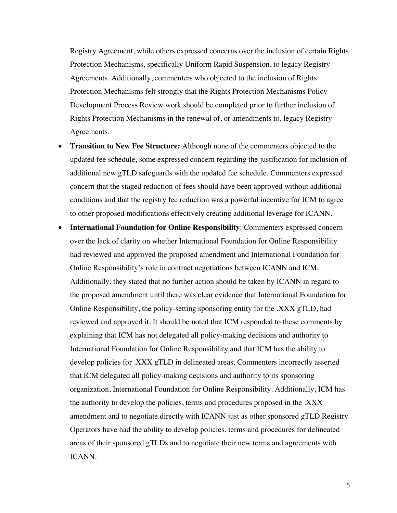Registry Agreement, while others expressed concerns over the inclusion of certain Rights Protection Mechanisms, specifically Uniform Rapid Suspension, to legacy Registry Agreements. Additionally, commenters who objected to the inclusion of Rights Protection Mechanisms felt strongly that the Rights Protection Mechanisms Policy Development Process Review work should be completed prior to further inclusion of Rights Protection Mechanisms in the renewal of, or amendments to, legacy Registry Agreements.

- **Transition to New Fee Structure:** Although none of the commenters objected to the updated fee schedule, some expressed concern regarding the justification for inclusion of additional new gTLD safeguards with the updated fee schedule. Commenters expressed concern that the staged reduction of fees should have been approved without additional conditions and that the registry fee reduction was a powerful incentive for ICM to agree to other proposed modifications effectively creating additional leverage for ICANN.
- **International Foundation for Online Responsibility**: Commenters expressed concern over the lack of clarity on whether International Foundation for Online Responsibility had reviewed and approved the proposed amendment and International Foundation for Online Responsibility's role in contract negotiations between ICANN and ICM. Additionally, they stated that no further action should be taken by ICANN in regard to the proposed amendment until there was clear evidence that International Foundation for Online Responsibility, the policy-setting sponsoring entity for the .XXX gTLD, had reviewed and approved it. It should be noted that ICM responded to these comments by explaining that ICM has not delegated all policy-making decisions and authority to International Foundation for Online Responsibility and that ICM has the ability to develop policies for .XXX gTLD in delineated areas. Commenters incorrectly asserted that ICM delegated all policy-making decisions and authority to its sponsoring organization, International Foundation for Online Responsibility. Additionally, ICM has the authority to develop the policies, terms and procedures proposed in the .XXX amendment and to negotiate directly with ICANN just as other sponsored gTLD Registry Operators have had the ability to develop policies, terms and procedures for delineated areas of their sponsored gTLDs and to negotiate their new terms and agreements with ICANN.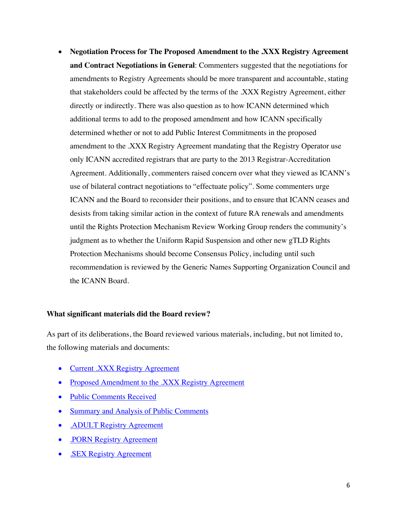• **Negotiation Process for The Proposed Amendment to the .XXX Registry Agreement and Contract Negotiations in General**: Commenters suggested that the negotiations for amendments to Registry Agreements should be more transparent and accountable, stating that stakeholders could be affected by the terms of the .XXX Registry Agreement, either directly or indirectly. There was also question as to how ICANN determined which additional terms to add to the proposed amendment and how ICANN specifically determined whether or not to add Public Interest Commitments in the proposed amendment to the .XXX Registry Agreement mandating that the Registry Operator use only ICANN accredited registrars that are party to the 2013 Registrar-Accreditation Agreement. Additionally, commenters raised concern over what they viewed as ICANN's use of bilateral contract negotiations to "effectuate policy". Some commenters urge ICANN and the Board to reconsider their positions, and to ensure that ICANN ceases and desists from taking similar action in the context of future RA renewals and amendments until the Rights Protection Mechanism Review Working Group renders the community's judgment as to whether the Uniform Rapid Suspension and other new gTLD Rights Protection Mechanisms should become Consensus Policy, including until such recommendation is reviewed by the Generic Names Supporting Organization Council and the ICANN Board.

#### **What significant materials did the Board review?**

As part of its deliberations, the Board reviewed various materials, including, but not limited to, the following materials and documents:

- Current .XXX Registry Agreement
- Proposed Amendment to the .XXX Registry Agreement
- Public Comments Received
- Summary and Analysis of Public Comments
- .ADULT Registry Agreement
- .PORN Registry Agreement
- .SEX Registry Agreement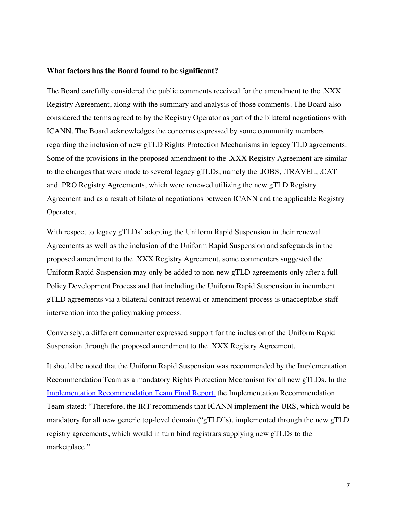#### **What factors has the Board found to be significant?**

The Board carefully considered the public comments received for the amendment to the .XXX Registry Agreement, along with the summary and analysis of those comments. The Board also considered the terms agreed to by the Registry Operator as part of the bilateral negotiations with ICANN. The Board acknowledges the concerns expressed by some community members regarding the inclusion of new gTLD Rights Protection Mechanisms in legacy TLD agreements. Some of the provisions in the proposed amendment to the .XXX Registry Agreement are similar to the changes that were made to several legacy gTLDs, namely the .JOBS, .TRAVEL, .CAT and .PRO Registry Agreements, which were renewed utilizing the new gTLD Registry Agreement and as a result of bilateral negotiations between ICANN and the applicable Registry Operator.

With respect to legacy gTLDs' adopting the Uniform Rapid Suspension in their renewal Agreements as well as the inclusion of the Uniform Rapid Suspension and safeguards in the proposed amendment to the .XXX Registry Agreement, some commenters suggested the Uniform Rapid Suspension may only be added to non-new gTLD agreements only after a full Policy Development Process and that including the Uniform Rapid Suspension in incumbent gTLD agreements via a bilateral contract renewal or amendment process is unacceptable staff intervention into the policymaking process.

Conversely, a different commenter expressed support for the inclusion of the Uniform Rapid Suspension through the proposed amendment to the .XXX Registry Agreement.

It should be noted that the Uniform Rapid Suspension was recommended by the Implementation Recommendation Team as a mandatory Rights Protection Mechanism for all new gTLDs. In the Implementation Recommendation Team Final Report, the Implementation Recommendation Team stated: "Therefore, the IRT recommends that ICANN implement the URS, which would be mandatory for all new generic top-level domain ("gTLD"s), implemented through the new gTLD registry agreements, which would in turn bind registrars supplying new gTLDs to the marketplace."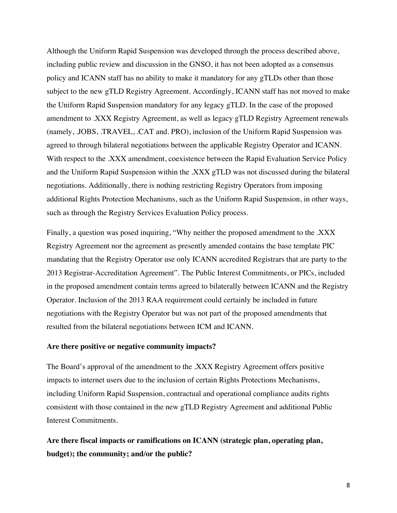Although the Uniform Rapid Suspension was developed through the process described above, including public review and discussion in the GNSO, it has not been adopted as a consensus policy and ICANN staff has no ability to make it mandatory for any gTLDs other than those subject to the new gTLD Registry Agreement. Accordingly, ICANN staff has not moved to make the Uniform Rapid Suspension mandatory for any legacy gTLD. In the case of the proposed amendment to .XXX Registry Agreement, as well as legacy gTLD Registry Agreement renewals (namely, .JOBS, .TRAVEL, .CAT and. PRO), inclusion of the Uniform Rapid Suspension was agreed to through bilateral negotiations between the applicable Registry Operator and ICANN. With respect to the .XXX amendment, coexistence between the Rapid Evaluation Service Policy and the Uniform Rapid Suspension within the .XXX gTLD was not discussed during the bilateral negotiations. Additionally, there is nothing restricting Registry Operators from imposing additional Rights Protection Mechanisms, such as the Uniform Rapid Suspension, in other ways, such as through the Registry Services Evaluation Policy process.

Finally, a question was posed inquiring, "Why neither the proposed amendment to the .XXX Registry Agreement nor the agreement as presently amended contains the base template PIC mandating that the Registry Operator use only ICANN accredited Registrars that are party to the 2013 Registrar-Accreditation Agreement". The Public Interest Commitments, or PICs, included in the proposed amendment contain terms agreed to bilaterally between ICANN and the Registry Operator. Inclusion of the 2013 RAA requirement could certainly be included in future negotiations with the Registry Operator but was not part of the proposed amendments that resulted from the bilateral negotiations between ICM and ICANN.

#### **Are there positive or negative community impacts?**

The Board's approval of the amendment to the .XXX Registry Agreement offers positive impacts to internet users due to the inclusion of certain Rights Protections Mechanisms, including Uniform Rapid Suspension, contractual and operational compliance audits rights consistent with those contained in the new gTLD Registry Agreement and additional Public Interest Commitments.

**Are there fiscal impacts or ramifications on ICANN (strategic plan, operating plan, budget); the community; and/or the public?**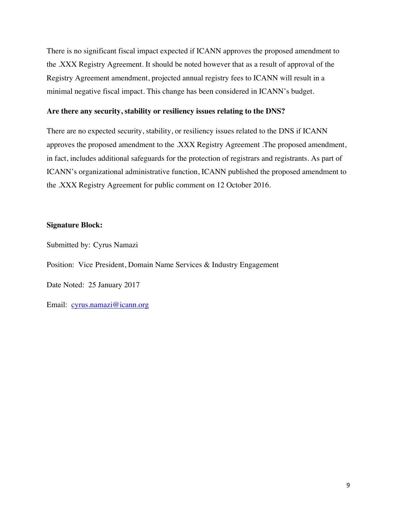There is no significant fiscal impact expected if ICANN approves the proposed amendment to the .XXX Registry Agreement. It should be noted however that as a result of approval of the Registry Agreement amendment, projected annual registry fees to ICANN will result in a minimal negative fiscal impact. This change has been considered in ICANN's budget.

### **Are there any security, stability or resiliency issues relating to the DNS?**

There are no expected security, stability, or resiliency issues related to the DNS if ICANN approves the proposed amendment to the .XXX Registry Agreement .The proposed amendment, in fact, includes additional safeguards for the protection of registrars and registrants. As part of ICANN's organizational administrative function, ICANN published the proposed amendment to the .XXX Registry Agreement for public comment on 12 October 2016.

### **Signature Block:**

Submitted by: Cyrus Namazi

Position: Vice President, Domain Name Services & Industry Engagement

Date Noted: 25 January 2017

Email: cyrus.namazi@icann.org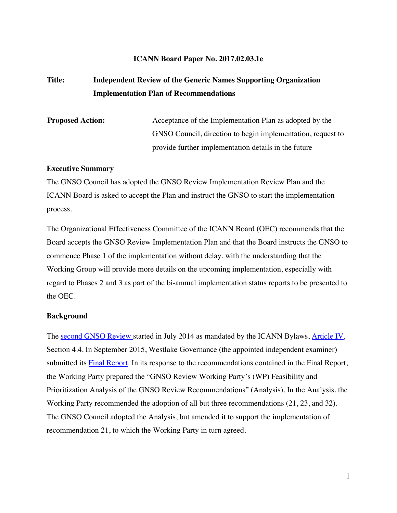#### **ICANN Board Paper No. 2017.02.03.1e**

# **Title: Independent Review of the Generic Names Supporting Organization Implementation Plan of Recommendations**

**Proposed Action:** Acceptance of the Implementation Plan as adopted by the GNSO Council, direction to begin implementation, request to provide further implementation details in the future

### **Executive Summary**

The GNSO Council has adopted the GNSO Review Implementation Review Plan and the ICANN Board is asked to accept the Plan and instruct the GNSO to start the implementation process.

The Organizational Effectiveness Committee of the ICANN Board (OEC) recommends that the Board accepts the GNSO Review Implementation Plan and that the Board instructs the GNSO to commence Phase 1 of the implementation without delay, with the understanding that the Working Group will provide more details on the upcoming implementation, especially with regard to Phases 2 and 3 as part of the bi-annual implementation status reports to be presented to the OEC.

#### **Background**

The second GNSO Review started in July 2014 as mandated by the ICANN Bylaws, Article IV, Section 4.4. In September 2015, Westlake Governance (the appointed independent examiner) submitted its **Final Report**. In its response to the recommendations contained in the Final Report, the Working Party prepared the "GNSO Review Working Party's (WP) Feasibility and Prioritization Analysis of the GNSO Review Recommendations" (Analysis). In the Analysis, the Working Party recommended the adoption of all but three recommendations (21, 23, and 32). The GNSO Council adopted the Analysis, but amended it to support the implementation of recommendation 21, to which the Working Party in turn agreed.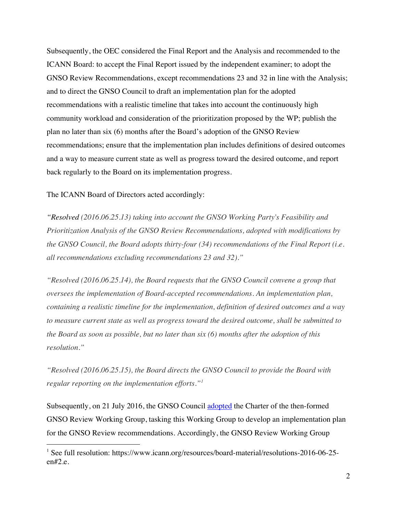Subsequently, the OEC considered the Final Report and the Analysis and recommended to the ICANN Board: to accept the Final Report issued by the independent examiner; to adopt the GNSO Review Recommendations, except recommendations 23 and 32 in line with the Analysis; and to direct the GNSO Council to draft an implementation plan for the adopted recommendations with a realistic timeline that takes into account the continuously high community workload and consideration of the prioritization proposed by the WP; publish the plan no later than six (6) months after the Board's adoption of the GNSO Review recommendations; ensure that the implementation plan includes definitions of desired outcomes and a way to measure current state as well as progress toward the desired outcome, and report back regularly to the Board on its implementation progress.

The ICANN Board of Directors acted accordingly:

*"Resolved (2016.06.25.13) taking into account the GNSO Working Party's Feasibility and Prioritization Analysis of the GNSO Review Recommendations, adopted with modifications by the GNSO Council, the Board adopts thirty-four (34) recommendations of the Final Report (i.e. all recommendations excluding recommendations 23 and 32)."* 

*"Resolved (2016.06.25.14), the Board requests that the GNSO Council convene a group that oversees the implementation of Board-accepted recommendations. An implementation plan, containing a realistic timeline for the implementation, definition of desired outcomes and a way to measure current state as well as progress toward the desired outcome, shall be submitted to the Board as soon as possible, but no later than six (6) months after the adoption of this resolution."*

*"Resolved (2016.06.25.15), the Board directs the GNSO Council to provide the Board with regular reporting on the implementation efforts."<sup>1</sup>*

Subsequently, on 21 July 2016, the GNSO Council adopted the Charter of the then-formed GNSO Review Working Group, tasking this Working Group to develop an implementation plan for the GNSO Review recommendations. Accordingly, the GNSO Review Working Group

<sup>&</sup>lt;sup>1</sup> See full resolution: https://www.icann.org/resources/board-material/resolutions-2016-06-25en#2.e.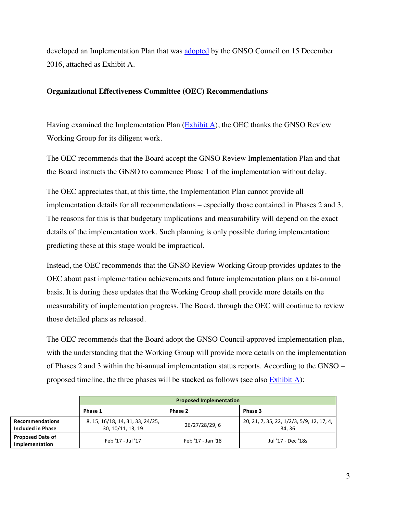developed an Implementation Plan that was adopted by the GNSO Council on 15 December 2016, attached as Exhibit A.

# **Organizational Effectiveness Committee (OEC) Recommendations**

Having examined the Implementation Plan (Exhibit A), the OEC thanks the GNSO Review Working Group for its diligent work.

The OEC recommends that the Board accept the GNSO Review Implementation Plan and that the Board instructs the GNSO to commence Phase 1 of the implementation without delay.

The OEC appreciates that, at this time, the Implementation Plan cannot provide all implementation details for all recommendations – especially those contained in Phases 2 and 3. The reasons for this is that budgetary implications and measurability will depend on the exact details of the implementation work. Such planning is only possible during implementation; predicting these at this stage would be impractical.

Instead, the OEC recommends that the GNSO Review Working Group provides updates to the OEC about past implementation achievements and future implementation plans on a bi-annual basis. It is during these updates that the Working Group shall provide more details on the measurability of implementation progress. The Board, through the OEC will continue to review those detailed plans as released.

The OEC recommends that the Board adopt the GNSO Council-approved implementation plan, with the understanding that the Working Group will provide more details on the implementation of Phases 2 and 3 within the bi-annual implementation status reports. According to the GNSO – proposed timeline, the three phases will be stacked as follows (see also  $\frac{Exhibit A}{}$ ):

|                                                    | <b>Proposed Implementation</b>                        |                   |                                                    |
|----------------------------------------------------|-------------------------------------------------------|-------------------|----------------------------------------------------|
|                                                    | Phase 1                                               | Phase 2           | Phase 3                                            |
| <b>Recommendations</b><br><b>Included in Phase</b> | 8, 15, 16/18, 14, 31, 33, 24/25,<br>30, 10/11, 13, 19 | 26/27/28/29, 6    | 20, 21, 7, 35, 22, 1/2/3, 5/9, 12, 17, 4,<br>34.36 |
| <b>Proposed Date of</b><br>Implementation          | Feb '17 - Jul '17                                     | Feb '17 - Jan '18 | Jul '17 - Dec '18s                                 |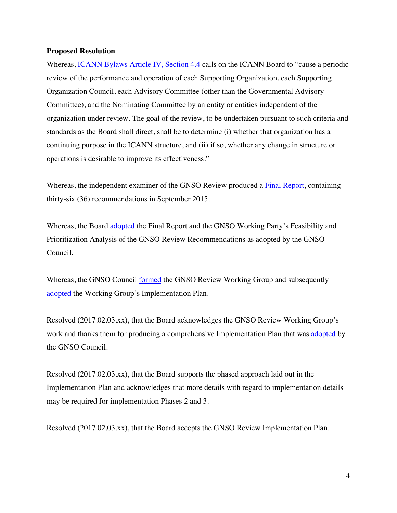#### **Proposed Resolution**

Whereas, ICANN Bylaws Article IV, Section 4.4 calls on the ICANN Board to "cause a periodic review of the performance and operation of each Supporting Organization, each Supporting Organization Council, each Advisory Committee (other than the Governmental Advisory Committee), and the Nominating Committee by an entity or entities independent of the organization under review. The goal of the review, to be undertaken pursuant to such criteria and standards as the Board shall direct, shall be to determine (i) whether that organization has a continuing purpose in the ICANN structure, and (ii) if so, whether any change in structure or operations is desirable to improve its effectiveness."

Whereas, the independent examiner of the GNSO Review produced a Final Report, containing thirty-six (36) recommendations in September 2015.

Whereas, the Board adopted the Final Report and the GNSO Working Party's Feasibility and Prioritization Analysis of the GNSO Review Recommendations as adopted by the GNSO Council.

Whereas, the GNSO Council formed the GNSO Review Working Group and subsequently adopted the Working Group's Implementation Plan.

Resolved (2017.02.03.xx), that the Board acknowledges the GNSO Review Working Group's work and thanks them for producing a comprehensive Implementation Plan that was adopted by the GNSO Council.

Resolved (2017.02.03.xx), that the Board supports the phased approach laid out in the Implementation Plan and acknowledges that more details with regard to implementation details may be required for implementation Phases 2 and 3.

Resolved (2017.02.03.xx), that the Board accepts the GNSO Review Implementation Plan.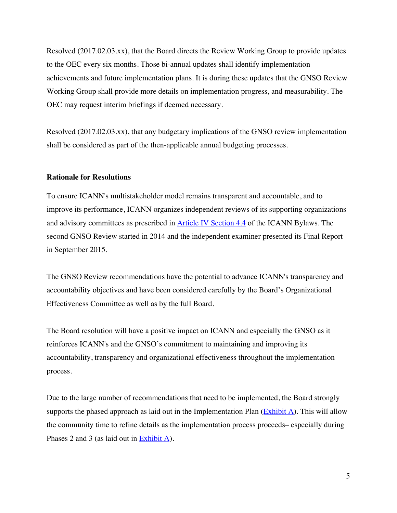Resolved (2017.02.03.xx), that the Board directs the Review Working Group to provide updates to the OEC every six months. Those bi-annual updates shall identify implementation achievements and future implementation plans. It is during these updates that the GNSO Review Working Group shall provide more details on implementation progress, and measurability. The OEC may request interim briefings if deemed necessary.

Resolved (2017.02.03.xx), that any budgetary implications of the GNSO review implementation shall be considered as part of the then-applicable annual budgeting processes.

#### **Rationale for Resolutions**

To ensure ICANN's multistakeholder model remains transparent and accountable, and to improve its performance, ICANN organizes independent reviews of its supporting organizations and advisory committees as prescribed in Article IV Section 4.4 of the ICANN Bylaws. The second GNSO Review started in 2014 and the independent examiner presented its Final Report in September 2015.

The GNSO Review recommendations have the potential to advance ICANN's transparency and accountability objectives and have been considered carefully by the Board's Organizational Effectiveness Committee as well as by the full Board.

The Board resolution will have a positive impact on ICANN and especially the GNSO as it reinforces ICANN's and the GNSO's commitment to maintaining and improving its accountability, transparency and organizational effectiveness throughout the implementation process.

Due to the large number of recommendations that need to be implemented, the Board strongly supports the phased approach as laid out in the Implementation Plan  $(Exhibit A)$ . This will allow the community time to refine details as the implementation process proceeds– especially during Phases 2 and 3 (as laid out in Exhibit A).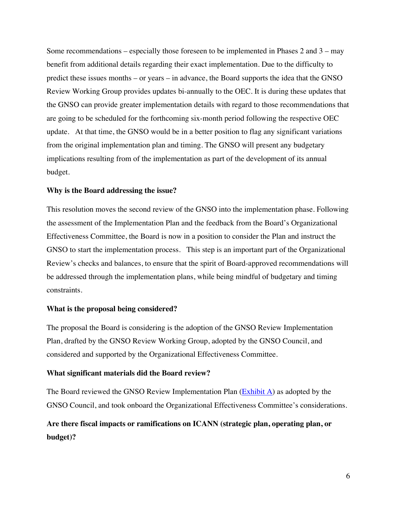Some recommendations – especially those foreseen to be implemented in Phases 2 and 3 – may benefit from additional details regarding their exact implementation. Due to the difficulty to predict these issues months – or years – in advance, the Board supports the idea that the GNSO Review Working Group provides updates bi-annually to the OEC. It is during these updates that the GNSO can provide greater implementation details with regard to those recommendations that are going to be scheduled for the forthcoming six-month period following the respective OEC update. At that time, the GNSO would be in a better position to flag any significant variations from the original implementation plan and timing. The GNSO will present any budgetary implications resulting from of the implementation as part of the development of its annual budget.

#### **Why is the Board addressing the issue?**

This resolution moves the second review of the GNSO into the implementation phase. Following the assessment of the Implementation Plan and the feedback from the Board's Organizational Effectiveness Committee, the Board is now in a position to consider the Plan and instruct the GNSO to start the implementation process. This step is an important part of the Organizational Review's checks and balances, to ensure that the spirit of Board-approved recommendations will be addressed through the implementation plans, while being mindful of budgetary and timing constraints.

#### **What is the proposal being considered?**

The proposal the Board is considering is the adoption of the GNSO Review Implementation Plan, drafted by the GNSO Review Working Group, adopted by the GNSO Council, and considered and supported by the Organizational Effectiveness Committee.

#### **What significant materials did the Board review?**

The Board reviewed the GNSO Review Implementation Plan  $(Exhibit A)$  as adopted by the GNSO Council, and took onboard the Organizational Effectiveness Committee's considerations.

# **Are there fiscal impacts or ramifications on ICANN (strategic plan, operating plan, or budget)?**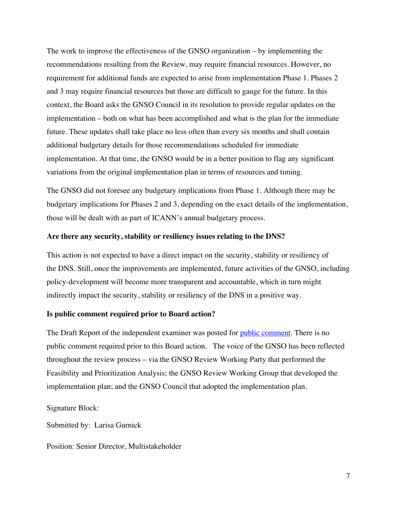The work to improve the effectiveness of the GNSO organization – by implementing the recommendations resulting from the Review, may require financial resources. However, no requirement for additional funds are expected to arise from implementation Phase 1. Phases 2 and 3 may require financial resources but those are difficult to gauge for the future. In this context, the Board asks the GNSO Council in its resolution to provide regular updates on the implementation – both on what has been accomplished and what is the plan for the immediate future. These updates shall take place no less often than every six months and shall contain additional budgetary details for those recommendations scheduled for immediate implementation. At that time, the GNSO would be in a better position to flag any significant variations from the original implementation plan in terms of resources and timing.

The GNSO did not foresee any budgetary implications from Phase 1. Although there may be budgetary implications for Phases 2 and 3, depending on the exact details of the implementation, those will be dealt with as part of ICANN's annual budgetary process.

### **Are there any security, stability or resiliency issues relating to the DNS?**

This action is not expected to have a direct impact on the security, stability or resiliency of the DNS. Still, once the improvements are implemented, future activities of the GNSO, including policy-development will become more transparent and accountable, which in turn might indirectly impact the security, stability or resiliency of the DNS in a positive way.

#### **Is public comment required prior to Board action?**

The Draft Report of the independent examiner was posted for public comment. There is no public comment required prior to this Board action. The voice of the GNSO has been reflected throughout the review process – via the GNSO Review Working Party that performed the Feasibility and Prioritization Analysis; the GNSO Review Working Group that developed the implementation plan; and the GNSO Council that adopted the implementation plan.

Signature Block:

Submitted by: Larisa Gurnick

Position: Senior Director, Multistakeholder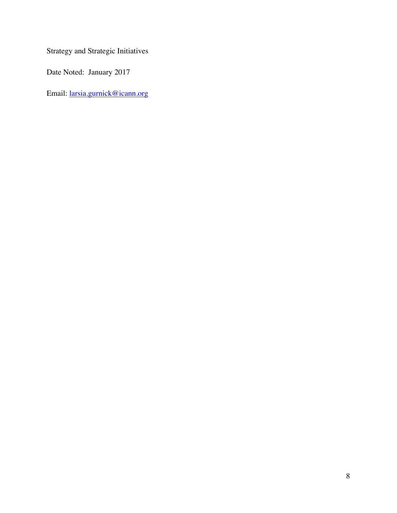Strategy and Strategic Initiatives

Date Noted: January 2017

Email: larsia.gurnick@icann.org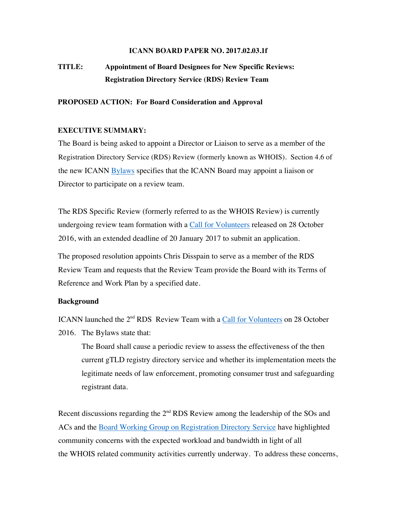#### **ICANN BOARD PAPER NO. 2017.02.03.1f**

# **TITLE: Appointment of Board Designees for New Specific Reviews: Registration Directory Service (RDS) Review Team**

#### **PROPOSED ACTION: For Board Consideration and Approval**

#### **EXECUTIVE SUMMARY:**

The Board is being asked to appoint a Director or Liaison to serve as a member of the Registration Directory Service (RDS) Review (formerly known as WHOIS). Section 4.6 of the new ICANN Bylaws specifies that the ICANN Board may appoint a liaison or Director to participate on a review team.

The RDS Specific Review (formerly referred to as the WHOIS Review) is currently undergoing review team formation with a Call for Volunteers released on 28 October 2016, with an extended deadline of 20 January 2017 to submit an application.

The proposed resolution appoints Chris Disspain to serve as a member of the RDS Review Team and requests that the Review Team provide the Board with its Terms of Reference and Work Plan by a specified date.

#### **Background**

ICANN launched the 2<sup>nd</sup> RDS Review Team with a Call for Volunteers on 28 October 2016. The Bylaws state that:

The Board shall cause a periodic review to assess the effectiveness of the then current gTLD registry directory service and whether its implementation meets the legitimate needs of law enforcement, promoting consumer trust and safeguarding registrant data.

Recent discussions regarding the  $2<sup>nd</sup> RDS$  Review among the leadership of the SOs and ACs and the Board Working Group on Registration Directory Service have highlighted community concerns with the expected workload and bandwidth in light of all the WHOIS related community activities currently underway. To address these concerns,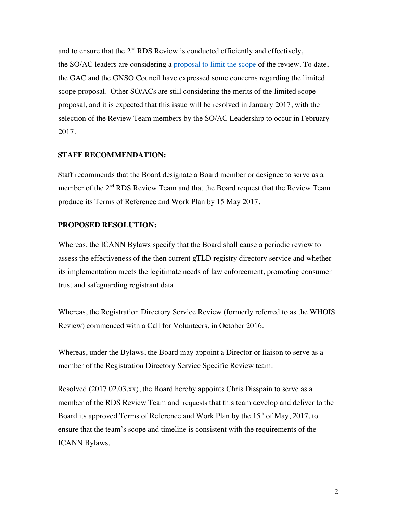and to ensure that the  $2<sup>nd</sup> RDS$  Review is conducted efficiently and effectively, the SO/AC leaders are considering a proposal to limit the scope of the review. To date, the GAC and the GNSO Council have expressed some concerns regarding the limited scope proposal. Other SO/ACs are still considering the merits of the limited scope proposal, and it is expected that this issue will be resolved in January 2017, with the selection of the Review Team members by the SO/AC Leadership to occur in February 2017.

### **STAFF RECOMMENDATION:**

Staff recommends that the Board designate a Board member or designee to serve as a member of the  $2<sup>nd</sup> RDS$  Review Team and that the Board request that the Review Team produce its Terms of Reference and Work Plan by 15 May 2017.

### **PROPOSED RESOLUTION:**

Whereas, the ICANN Bylaws specify that the Board shall cause a periodic review to assess the effectiveness of the then current gTLD registry directory service and whether its implementation meets the legitimate needs of law enforcement, promoting consumer trust and safeguarding registrant data.

Whereas, the Registration Directory Service Review (formerly referred to as the WHOIS Review) commenced with a Call for Volunteers, in October 2016.

Whereas, under the Bylaws, the Board may appoint a Director or liaison to serve as a member of the Registration Directory Service Specific Review team.

Resolved (2017.02.03.xx), the Board hereby appoints Chris Disspain to serve as a member of the RDS Review Team and requests that this team develop and deliver to the Board its approved Terms of Reference and Work Plan by the  $15<sup>th</sup>$  of May, 2017, to ensure that the team's scope and timeline is consistent with the requirements of the ICANN Bylaws.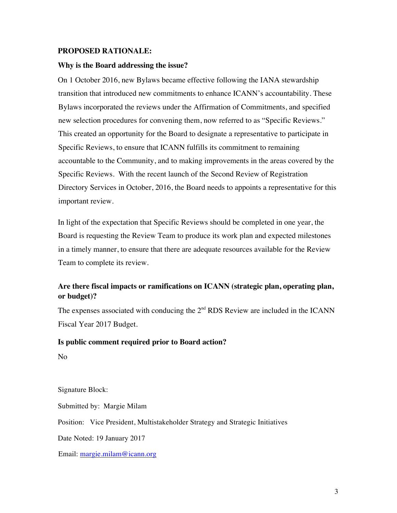#### **PROPOSED RATIONALE:**

#### **Why is the Board addressing the issue?**

On 1 October 2016, new Bylaws became effective following the IANA stewardship transition that introduced new commitments to enhance ICANN's accountability. These Bylaws incorporated the reviews under the Affirmation of Commitments, and specified new selection procedures for convening them, now referred to as "Specific Reviews." This created an opportunity for the Board to designate a representative to participate in Specific Reviews, to ensure that ICANN fulfills its commitment to remaining accountable to the Community, and to making improvements in the areas covered by the Specific Reviews. With the recent launch of the Second Review of Registration Directory Services in October, 2016, the Board needs to appoints a representative for this important review.

In light of the expectation that Specific Reviews should be completed in one year, the Board is requesting the Review Team to produce its work plan and expected milestones in a timely manner, to ensure that there are adequate resources available for the Review Team to complete its review.

# **Are there fiscal impacts or ramifications on ICANN (strategic plan, operating plan, or budget)?**

The expenses associated with conducing the  $2<sup>nd</sup> RDS$  Review are included in the ICANN Fiscal Year 2017 Budget.

#### **Is public comment required prior to Board action?**

No

Signature Block:

Submitted by: Margie Milam

Position: Vice President, Multistakeholder Strategy and Strategic Initiatives

Date Noted: 19 January 2017

Email: margie.milam@icann.org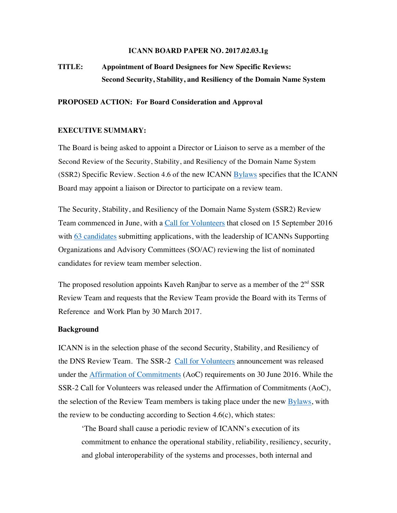#### **ICANN BOARD PAPER NO. 2017.02.03.1g**

# **TITLE: Appointment of Board Designees for New Specific Reviews: Second Security, Stability, and Resiliency of the Domain Name System**

#### **PROPOSED ACTION: For Board Consideration and Approval**

#### **EXECUTIVE SUMMARY:**

The Board is being asked to appoint a Director or Liaison to serve as a member of the Second Review of the Security, Stability, and Resiliency of the Domain Name System (SSR2) Specific Review. Section 4.6 of the new ICANN Bylaws specifies that the ICANN Board may appoint a liaison or Director to participate on a review team.

The Security, Stability, and Resiliency of the Domain Name System **(**SSR2) Review Team commenced in June, with a Call for Volunteers that closed on 15 September 2016 with 63 candidates submitting applications, with the leadership of ICANNs Supporting Organizations and Advisory Committees (SO/AC) reviewing the list of nominated candidates for review team member selection.

The proposed resolution appoints Kaveh Ranjbar to serve as a member of the  $2<sup>nd</sup> SSR$ Review Team and requests that the Review Team provide the Board with its Terms of Reference and Work Plan by 30 March 2017.

#### **Background**

ICANN is in the selection phase of the second Security, Stability, and Resiliency of the DNS Review Team. The SSR-2 Call for Volunteers announcement was released under the Affirmation of Commitments (AoC) requirements on 30 June 2016. While the SSR-2 Call for Volunteers was released under the Affirmation of Commitments (AoC), the selection of the Review Team members is taking place under the new Bylaws, with the review to be conducting according to Section  $4.6(c)$ , which states:

'The Board shall cause a periodic review of ICANN's execution of its commitment to enhance the operational stability, reliability, resiliency, security, and global interoperability of the systems and processes, both internal and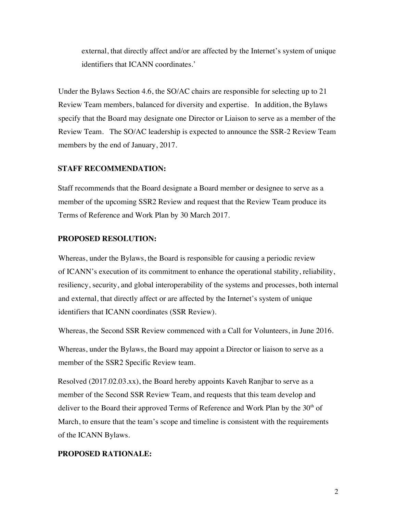external, that directly affect and/or are affected by the Internet's system of unique identifiers that ICANN coordinates.'

Under the Bylaws Section 4.6, the SO/AC chairs are responsible for selecting up to 21 Review Team members, balanced for diversity and expertise. In addition, the Bylaws specify that the Board may designate one Director or Liaison to serve as a member of the Review Team. The SO/AC leadership is expected to announce the SSR-2 Review Team members by the end of January, 2017.

# **STAFF RECOMMENDATION:**

Staff recommends that the Board designate a Board member or designee to serve as a member of the upcoming SSR2 Review and request that the Review Team produce its Terms of Reference and Work Plan by 30 March 2017.

# **PROPOSED RESOLUTION:**

Whereas, under the Bylaws, the Board is responsible for causing a periodic review of ICANN's execution of its commitment to enhance the operational stability, reliability, resiliency, security, and global interoperability of the systems and processes, both internal and external, that directly affect or are affected by the Internet's system of unique identifiers that ICANN coordinates (SSR Review).

Whereas, the Second SSR Review commenced with a Call for Volunteers, in June 2016.

Whereas, under the Bylaws, the Board may appoint a Director or liaison to serve as a member of the SSR2 Specific Review team.

Resolved (2017.02.03.xx), the Board hereby appoints Kaveh Ranjbar to serve as a member of the Second SSR Review Team, and requests that this team develop and deliver to the Board their approved Terms of Reference and Work Plan by the  $30<sup>th</sup>$  of March, to ensure that the team's scope and timeline is consistent with the requirements of the ICANN Bylaws.

# **PROPOSED RATIONALE:**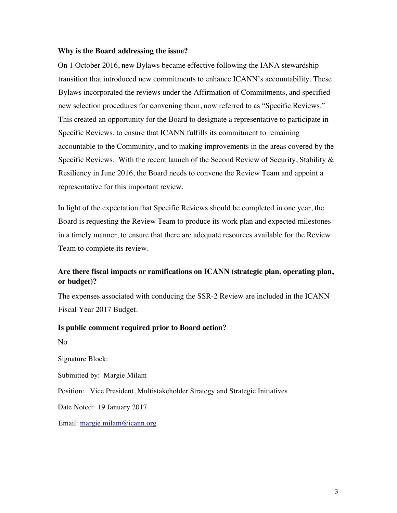#### **Why is the Board addressing the issue?**

On 1 October 2016, new Bylaws became effective following the IANA stewardship transition that introduced new commitments to enhance ICANN's accountability. These Bylaws incorporated the reviews under the Affirmation of Commitments, and specified new selection procedures for convening them, now referred to as "Specific Reviews." This created an opportunity for the Board to designate a representative to participate in Specific Reviews, to ensure that ICANN fulfills its commitment to remaining accountable to the Community, and to making improvements in the areas covered by the Specific Reviews. With the recent launch of the Second Review of Security, Stability & Resiliency in June 2016, the Board needs to convene the Review Team and appoint a representative for this important review.

In light of the expectation that Specific Reviews should be completed in one year, the Board is requesting the Review Team to produce its work plan and expected milestones in a timely manner, to ensure that there are adequate resources available for the Review Team to complete its review.

# **Are there fiscal impacts or ramifications on ICANN (strategic plan, operating plan, or budget)?**

The expenses associated with conducing the SSR-2 Review are included in the ICANN Fiscal Year 2017 Budget.

#### **Is public comment required prior to Board action?**

No

Signature Block:

Submitted by: Margie Milam

Position: Vice President, Multistakeholder Strategy and Strategic Initiatives

Date Noted: 19 January 2017

Email: margie.milam@icann.org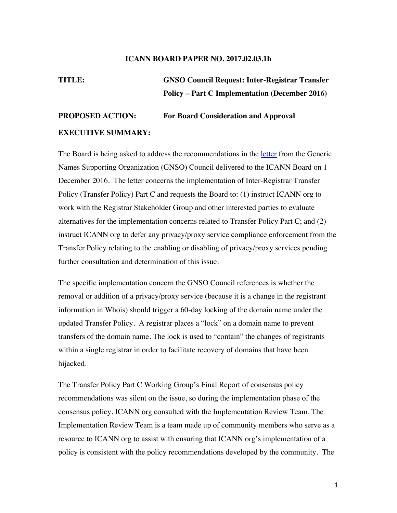#### **ICANN BOARD PAPER NO. 2017.02.03.1h**

**TITLE: GNSO Council Request: Inter-Registrar Transfer Policy – Part C Implementation (December 2016)** 

# **PROPOSED ACTION: For Board Consideration and Approval EXECUTIVE SUMMARY:**

The Board is being asked to address the recommendations in the letter from the Generic Names Supporting Organization (GNSO) Council delivered to the ICANN Board on 1 December 2016. The letter concerns the implementation of Inter-Registrar Transfer Policy (Transfer Policy) Part C and requests the Board to: (1) instruct ICANN org to work with the Registrar Stakeholder Group and other interested parties to evaluate alternatives for the implementation concerns related to Transfer Policy Part C; and (2) instruct ICANN org to defer any privacy/proxy service compliance enforcement from the Transfer Policy relating to the enabling or disabling of privacy/proxy services pending further consultation and determination of this issue.

The specific implementation concern the GNSO Council references is whether the removal or addition of a privacy/proxy service (because it is a change in the registrant information in Whois) should trigger a 60-day locking of the domain name under the updated Transfer Policy. A registrar places a "lock" on a domain name to prevent transfers of the domain name. The lock is used to "contain" the changes of registrants within a single registrar in order to facilitate recovery of domains that have been hijacked.

The Transfer Policy Part C Working Group's Final Report of consensus policy recommendations was silent on the issue, so during the implementation phase of the consensus policy, ICANN org consulted with the Implementation Review Team. The Implementation Review Team is a team made up of community members who serve as a resource to ICANN org to assist with ensuring that ICANN org's implementation of a policy is consistent with the policy recommendations developed by the community. The

1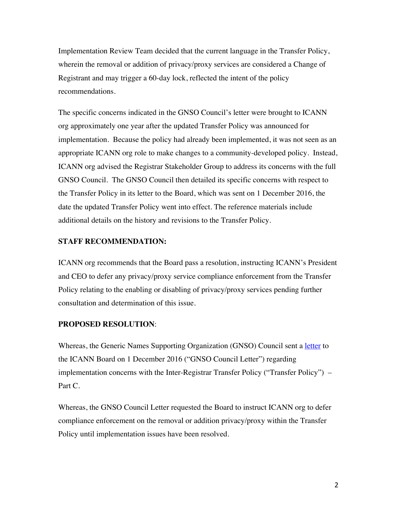Implementation Review Team decided that the current language in the Transfer Policy, wherein the removal or addition of privacy/proxy services are considered a Change of Registrant and may trigger a 60-day lock, reflected the intent of the policy recommendations.

The specific concerns indicated in the GNSO Council's letter were brought to ICANN org approximately one year after the updated Transfer Policy was announced for implementation. Because the policy had already been implemented, it was not seen as an appropriate ICANN org role to make changes to a community-developed policy. Instead, ICANN org advised the Registrar Stakeholder Group to address its concerns with the full GNSO Council. The GNSO Council then detailed its specific concerns with respect to the Transfer Policy in its letter to the Board, which was sent on 1 December 2016, the date the updated Transfer Policy went into effect. The reference materials include additional details on the history and revisions to the Transfer Policy.

# **STAFF RECOMMENDATION:**

ICANN org recommends that the Board pass a resolution, instructing ICANN's President and CEO to defer any privacy/proxy service compliance enforcement from the Transfer Policy relating to the enabling or disabling of privacy/proxy services pending further consultation and determination of this issue.

# **PROPOSED RESOLUTION**:

Whereas, the Generic Names Supporting Organization (GNSO) Council sent a letter to the ICANN Board on 1 December 2016 ("GNSO Council Letter") regarding implementation concerns with the Inter-Registrar Transfer Policy ("Transfer Policy") – Part C.

Whereas, the GNSO Council Letter requested the Board to instruct ICANN org to defer compliance enforcement on the removal or addition privacy/proxy within the Transfer Policy until implementation issues have been resolved.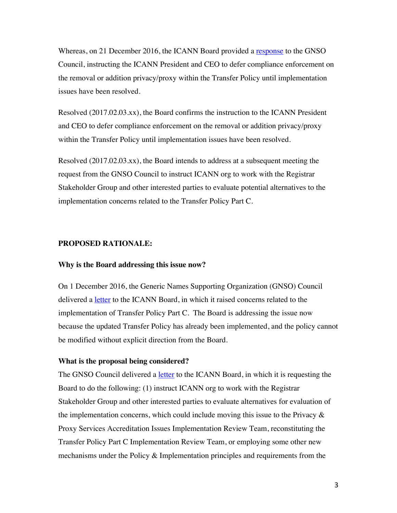Whereas, on 21 December 2016, the ICANN Board provided a response to the GNSO Council, instructing the ICANN President and CEO to defer compliance enforcement on the removal or addition privacy/proxy within the Transfer Policy until implementation issues have been resolved.

Resolved (2017.02.03.xx), the Board confirms the instruction to the ICANN President and CEO to defer compliance enforcement on the removal or addition privacy/proxy within the Transfer Policy until implementation issues have been resolved.

Resolved (2017.02.03.xx), the Board intends to address at a subsequent meeting the request from the GNSO Council to instruct ICANN org to work with the Registrar Stakeholder Group and other interested parties to evaluate potential alternatives to the implementation concerns related to the Transfer Policy Part C.

#### **PROPOSED RATIONALE:**

#### **Why is the Board addressing this issue now?**

On 1 December 2016, the Generic Names Supporting Organization (GNSO) Council delivered a letter to the ICANN Board, in which it raised concerns related to the implementation of Transfer Policy Part C. The Board is addressing the issue now because the updated Transfer Policy has already been implemented, and the policy cannot be modified without explicit direction from the Board.

#### **What is the proposal being considered?**

The GNSO Council delivered a <u>letter</u> to the ICANN Board, in which it is requesting the Board to do the following: (1) instruct ICANN org to work with the Registrar Stakeholder Group and other interested parties to evaluate alternatives for evaluation of the implementation concerns, which could include moving this issue to the Privacy  $\&$ Proxy Services Accreditation Issues Implementation Review Team, reconstituting the Transfer Policy Part C Implementation Review Team, or employing some other new mechanisms under the Policy & Implementation principles and requirements from the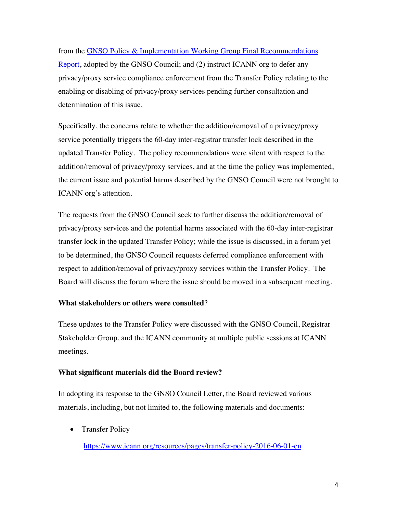from the GNSO Policy & Implementation Working Group Final Recommendations Report, adopted by the GNSO Council; and (2) instruct ICANN org to defer any privacy/proxy service compliance enforcement from the Transfer Policy relating to the enabling or disabling of privacy/proxy services pending further consultation and determination of this issue.

Specifically, the concerns relate to whether the addition/removal of a privacy/proxy service potentially triggers the 60-day inter-registrar transfer lock described in the updated Transfer Policy. The policy recommendations were silent with respect to the addition/removal of privacy/proxy services, and at the time the policy was implemented, the current issue and potential harms described by the GNSO Council were not brought to ICANN org's attention.

The requests from the GNSO Council seek to further discuss the addition/removal of privacy/proxy services and the potential harms associated with the 60-day inter-registrar transfer lock in the updated Transfer Policy; while the issue is discussed, in a forum yet to be determined, the GNSO Council requests deferred compliance enforcement with respect to addition/removal of privacy/proxy services within the Transfer Policy. The Board will discuss the forum where the issue should be moved in a subsequent meeting.

# **What stakeholders or others were consulted**?

These updates to the Transfer Policy were discussed with the GNSO Council, Registrar Stakeholder Group, and the ICANN community at multiple public sessions at ICANN meetings.

# **What significant materials did the Board review?**

In adopting its response to the GNSO Council Letter, the Board reviewed various materials, including, but not limited to, the following materials and documents:

• Transfer Policy

https://www.icann.org/resources/pages/transfer-policy-2016-06-01-en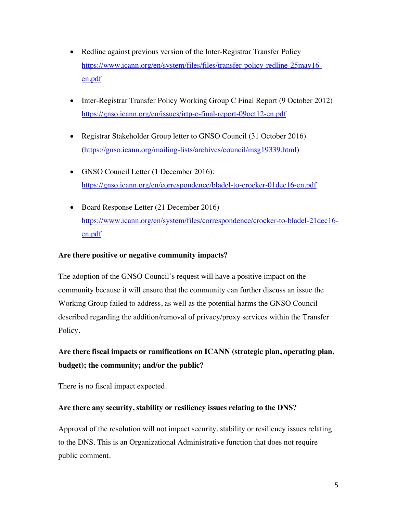- Redline against previous version of the Inter-Registrar Transfer Policy https://www.icann.org/en/system/files/files/transfer-policy-redline-25may16 en.pdf
- Inter-Registrar Transfer Policy Working Group C Final Report (9 October 2012) https://gnso.icann.org/en/issues/irtp-c-final-report-09oct12-en.pdf
- Registrar Stakeholder Group letter to GNSO Council (31 October 2016) (https://gnso.icann.org/mailing-lists/archives/council/msg19339.html)
- GNSO Council Letter (1 December 2016): https://gnso.icann.org/en/correspondence/bladel-to-crocker-01dec16-en.pdf
- Board Response Letter (21 December 2016) https://www.icann.org/en/system/files/correspondence/crocker-to-bladel-21dec16 en.pdf

# **Are there positive or negative community impacts?**

The adoption of the GNSO Council's request will have a positive impact on the community because it will ensure that the community can further discuss an issue the Working Group failed to address, as well as the potential harms the GNSO Council described regarding the addition/removal of privacy/proxy services within the Transfer Policy.

**Are there fiscal impacts or ramifications on ICANN (strategic plan, operating plan, budget); the community; and/or the public?**

There is no fiscal impact expected.

# **Are there any security, stability or resiliency issues relating to the DNS?**

Approval of the resolution will not impact security, stability or resiliency issues relating to the DNS. This is an Organizational Administrative function that does not require public comment.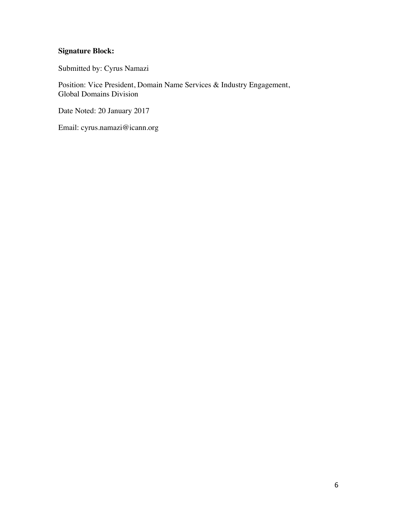# **Signature Block:**

Submitted by: Cyrus Namazi

Position: Vice President, Domain Name Services & Industry Engagement, Global Domains Division

Date Noted: 20 January 2017

Email: cyrus.namazi@icann.org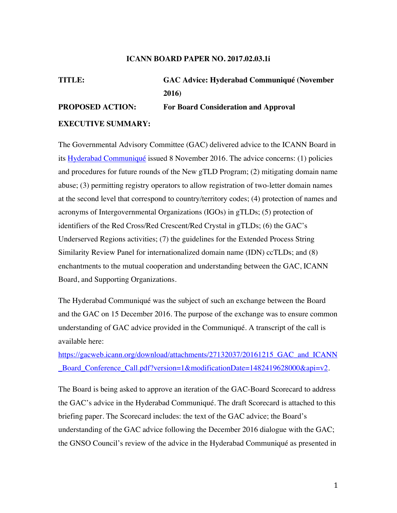#### **ICANN BOARD PAPER NO. 2017.02.03.1i**

# **TITLE: GAC Advice: Hyderabad Communiqué (November 2016) PROPOSED ACTION: For Board Consideration and Approval**

#### **EXECUTIVE SUMMARY:**

The Governmental Advisory Committee (GAC) delivered advice to the ICANN Board in its Hyderabad Communiqué issued 8 November 2016. The advice concerns: (1) policies and procedures for future rounds of the New gTLD Program; (2) mitigating domain name abuse; (3) permitting registry operators to allow registration of two-letter domain names at the second level that correspond to country/territory codes; (4) protection of names and acronyms of Intergovernmental Organizations (IGOs) in gTLDs; (5) protection of identifiers of the Red Cross/Red Crescent/Red Crystal in gTLDs; (6) the GAC's Underserved Regions activities; (7) the guidelines for the Extended Process String Similarity Review Panel for internationalized domain name (IDN) ccTLDs; and (8) enchantments to the mutual cooperation and understanding between the GAC, ICANN Board, and Supporting Organizations.

The Hyderabad Communiqué was the subject of such an exchange between the Board and the GAC on 15 December 2016. The purpose of the exchange was to ensure common understanding of GAC advice provided in the Communiqué. A transcript of the call is available here:

https://gacweb.icann.org/download/attachments/27132037/20161215\_GAC\_and\_ICANN \_Board\_Conference\_Call.pdf?version=1&modificationDate=1482419628000&api=v2.

The Board is being asked to approve an iteration of the GAC-Board Scorecard to address the GAC's advice in the Hyderabad Communiqué. The draft Scorecard is attached to this briefing paper. The Scorecard includes: the text of the GAC advice; the Board's understanding of the GAC advice following the December 2016 dialogue with the GAC; the GNSO Council's review of the advice in the Hyderabad Communiqué as presented in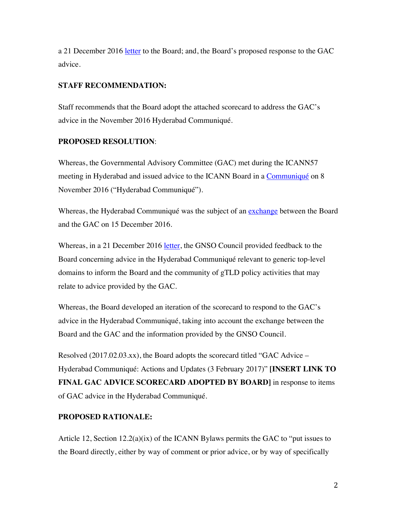a 21 December 2016 letter to the Board; and, the Board's proposed response to the GAC advice.

# **STAFF RECOMMENDATION:**

Staff recommends that the Board adopt the attached scorecard to address the GAC's advice in the November 2016 Hyderabad Communiqué.

# **PROPOSED RESOLUTION**:

Whereas, the Governmental Advisory Committee (GAC) met during the ICANN57 meeting in Hyderabad and issued advice to the ICANN Board in a Communiqué on 8 November 2016 ("Hyderabad Communiqué").

Whereas, the Hyderabad Communiqué was the subject of an exchange between the Board and the GAC on 15 December 2016.

Whereas, in a 21 December 2016 letter, the GNSO Council provided feedback to the Board concerning advice in the Hyderabad Communiqué relevant to generic top-level domains to inform the Board and the community of gTLD policy activities that may relate to advice provided by the GAC.

Whereas, the Board developed an iteration of the scorecard to respond to the GAC's advice in the Hyderabad Communiqué, taking into account the exchange between the Board and the GAC and the information provided by the GNSO Council.

Resolved (2017.02.03.xx), the Board adopts the scorecard titled "GAC Advice – Hyderabad Communiqué: Actions and Updates (3 February 2017)" **[INSERT LINK TO FINAL GAC ADVICE SCORECARD ADOPTED BY BOARD]** in response to items of GAC advice in the Hyderabad Communiqué.

# **PROPOSED RATIONALE:**

Article 12, Section  $12.2(a)(ix)$  of the ICANN Bylaws permits the GAC to "put issues to the Board directly, either by way of comment or prior advice, or by way of specifically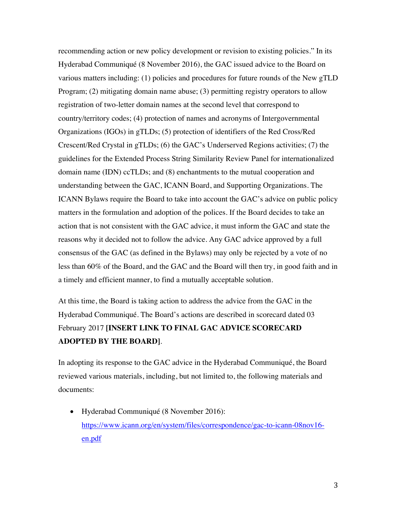recommending action or new policy development or revision to existing policies." In its Hyderabad Communiqué (8 November 2016), the GAC issued advice to the Board on various matters including: (1) policies and procedures for future rounds of the New gTLD Program; (2) mitigating domain name abuse; (3) permitting registry operators to allow registration of two-letter domain names at the second level that correspond to country/territory codes; (4) protection of names and acronyms of Intergovernmental Organizations (IGOs) in gTLDs; (5) protection of identifiers of the Red Cross/Red Crescent/Red Crystal in gTLDs; (6) the GAC's Underserved Regions activities; (7) the guidelines for the Extended Process String Similarity Review Panel for internationalized domain name (IDN) ccTLDs; and (8) enchantments to the mutual cooperation and understanding between the GAC, ICANN Board, and Supporting Organizations. The ICANN Bylaws require the Board to take into account the GAC's advice on public policy matters in the formulation and adoption of the polices. If the Board decides to take an action that is not consistent with the GAC advice, it must inform the GAC and state the reasons why it decided not to follow the advice. Any GAC advice approved by a full consensus of the GAC (as defined in the Bylaws) may only be rejected by a vote of no less than 60% of the Board, and the GAC and the Board will then try, in good faith and in a timely and efficient manner, to find a mutually acceptable solution.

At this time, the Board is taking action to address the advice from the GAC in the Hyderabad Communiqué. The Board's actions are described in scorecard dated 03 February 2017 **[INSERT LINK TO FINAL GAC ADVICE SCORECARD ADOPTED BY THE BOARD]**.

In adopting its response to the GAC advice in the Hyderabad Communiqué, the Board reviewed various materials, including, but not limited to, the following materials and documents:

• Hyderabad Communiqué (8 November 2016): https://www.icann.org/en/system/files/correspondence/gac-to-icann-08nov16 en.pdf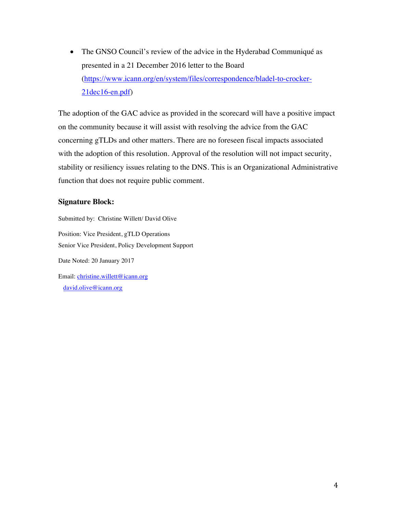• The GNSO Council's review of the advice in the Hyderabad Communiqué as presented in a 21 December 2016 letter to the Board (https://www.icann.org/en/system/files/correspondence/bladel-to-crocker-21dec16-en.pdf)

The adoption of the GAC advice as provided in the scorecard will have a positive impact on the community because it will assist with resolving the advice from the GAC concerning gTLDs and other matters. There are no foreseen fiscal impacts associated with the adoption of this resolution. Approval of the resolution will not impact security, stability or resiliency issues relating to the DNS. This is an Organizational Administrative function that does not require public comment.

### **Signature Block:**

david.olive@icann.org

Submitted by: Christine Willett/ David Olive Position: Vice President, gTLD Operations Senior Vice President, Policy Development Support Date Noted: 20 January 2017 Email: christine.willett@icann.org

4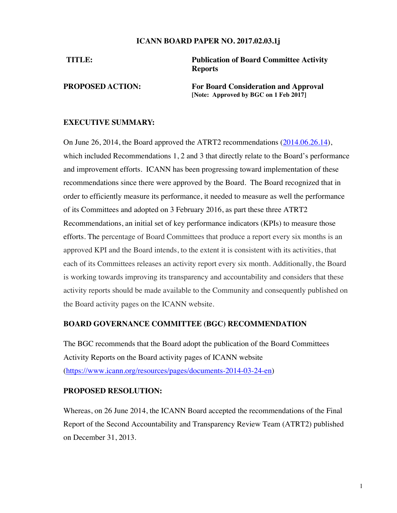#### **ICANN BOARD PAPER NO. 2017.02.03.1j**

**TITLE: Publication of Board Committee Activity Reports**

**PROPOSED ACTION: For Board Consideration and Approval [Note: Approved by BGC on 1 Feb 2017]**

# **EXECUTIVE SUMMARY:**

On June 26, 2014, the Board approved the ATRT2 recommendations (2014.06.26.14), which included Recommendations 1, 2 and 3 that directly relate to the Board's performance and improvement efforts. ICANN has been progressing toward implementation of these recommendations since there were approved by the Board. The Board recognized that in order to efficiently measure its performance, it needed to measure as well the performance of its Committees and adopted on 3 February 2016, as part these three ATRT2 Recommendations, an initial set of key performance indicators (KPIs) to measure those efforts. The percentage of Board Committees that produce a report every six months is an approved KPI and the Board intends, to the extent it is consistent with its activities, that each of its Committees releases an activity report every six month. Additionally, the Board is working towards improving its transparency and accountability and considers that these activity reports should be made available to the Community and consequently published on the Board activity pages on the ICANN website.

# **BOARD GOVERNANCE COMMITTEE (BGC) RECOMMENDATION**

The BGC recommends that the Board adopt the publication of the Board Committees Activity Reports on the Board activity pages of ICANN website (https://www.icann.org/resources/pages/documents-2014-03-24-en)

#### **PROPOSED RESOLUTION:**

Whereas, on 26 June 2014, the ICANN Board accepted the recommendations of the Final Report of the Second Accountability and Transparency Review Team (ATRT2) published on December 31, 2013.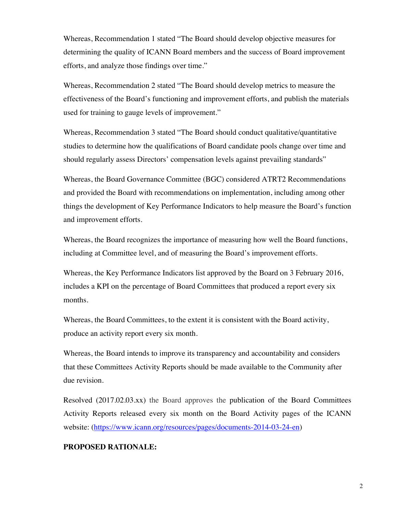Whereas, Recommendation 1 stated "The Board should develop objective measures for determining the quality of ICANN Board members and the success of Board improvement efforts, and analyze those findings over time."

Whereas, Recommendation 2 stated "The Board should develop metrics to measure the effectiveness of the Board's functioning and improvement efforts, and publish the materials used for training to gauge levels of improvement."

Whereas, Recommendation 3 stated "The Board should conduct qualitative/quantitative studies to determine how the qualifications of Board candidate pools change over time and should regularly assess Directors' compensation levels against prevailing standards"

Whereas, the Board Governance Committee (BGC) considered ATRT2 Recommendations and provided the Board with recommendations on implementation, including among other things the development of Key Performance Indicators to help measure the Board's function and improvement efforts.

Whereas, the Board recognizes the importance of measuring how well the Board functions, including at Committee level, and of measuring the Board's improvement efforts.

Whereas, the Key Performance Indicators list approved by the Board on 3 February 2016, includes a KPI on the percentage of Board Committees that produced a report every six months.

Whereas, the Board Committees, to the extent it is consistent with the Board activity, produce an activity report every six month.

Whereas, the Board intends to improve its transparency and accountability and considers that these Committees Activity Reports should be made available to the Community after due revision.

Resolved (2017.02.03.xx) the Board approves the publication of the Board Committees Activity Reports released every six month on the Board Activity pages of the ICANN website: (https://www.icann.org/resources/pages/documents-2014-03-24-en)

#### **PROPOSED RATIONALE:**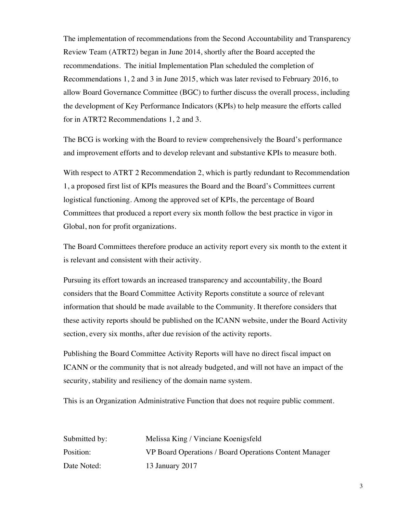The implementation of recommendations from the Second Accountability and Transparency Review Team (ATRT2) began in June 2014, shortly after the Board accepted the recommendations. The initial Implementation Plan scheduled the completion of Recommendations 1, 2 and 3 in June 2015, which was later revised to February 2016, to allow Board Governance Committee (BGC) to further discuss the overall process, including the development of Key Performance Indicators (KPIs) to help measure the efforts called for in ATRT2 Recommendations 1, 2 and 3.

The BCG is working with the Board to review comprehensively the Board's performance and improvement efforts and to develop relevant and substantive KPIs to measure both.

With respect to ATRT 2 Recommendation 2, which is partly redundant to Recommendation 1, a proposed first list of KPIs measures the Board and the Board's Committees current logistical functioning. Among the approved set of KPIs, the percentage of Board Committees that produced a report every six month follow the best practice in vigor in Global, non for profit organizations.

The Board Committees therefore produce an activity report every six month to the extent it is relevant and consistent with their activity.

Pursuing its effort towards an increased transparency and accountability, the Board considers that the Board Committee Activity Reports constitute a source of relevant information that should be made available to the Community. It therefore considers that these activity reports should be published on the ICANN website, under the Board Activity section, every six months, after due revision of the activity reports.

Publishing the Board Committee Activity Reports will have no direct fiscal impact on ICANN or the community that is not already budgeted, and will not have an impact of the security, stability and resiliency of the domain name system.

This is an Organization Administrative Function that does not require public comment.

| Submitted by: | Melissa King / Vinciane Koenigsfeld                    |
|---------------|--------------------------------------------------------|
| Position:     | VP Board Operations / Board Operations Content Manager |
| Date Noted:   | 13 January 2017                                        |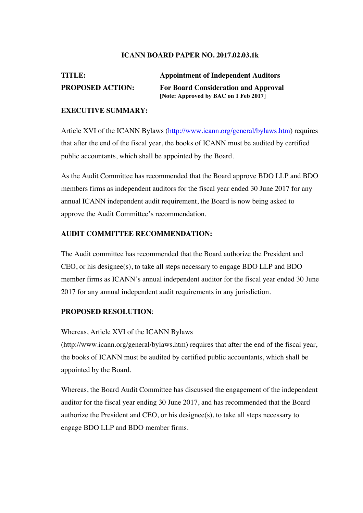### **ICANN BOARD PAPER NO. 2017.02.03.1k**

# **TITLE: Appointment of Independent Auditors PROPOSED ACTION: For Board Consideration and Approval [Note: Approved by BAC on 1 Feb 2017]**

# **EXECUTIVE SUMMARY:**

Article XVI of the ICANN Bylaws (http://www.icann.org/general/bylaws.htm) requires that after the end of the fiscal year, the books of ICANN must be audited by certified public accountants, which shall be appointed by the Board.

As the Audit Committee has recommended that the Board approve BDO LLP and BDO members firms as independent auditors for the fiscal year ended 30 June 2017 for any annual ICANN independent audit requirement, the Board is now being asked to approve the Audit Committee's recommendation.

# **AUDIT COMMITTEE RECOMMENDATION:**

The Audit committee has recommended that the Board authorize the President and CEO, or his designee(s), to take all steps necessary to engage BDO LLP and BDO member firms as ICANN's annual independent auditor for the fiscal year ended 30 June 2017 for any annual independent audit requirements in any jurisdiction.

# **PROPOSED RESOLUTION**:

Whereas, Article XVI of the ICANN Bylaws

(http://www.icann.org/general/bylaws.htm) requires that after the end of the fiscal year, the books of ICANN must be audited by certified public accountants, which shall be appointed by the Board.

Whereas, the Board Audit Committee has discussed the engagement of the independent auditor for the fiscal year ending 30 June 2017, and has recommended that the Board authorize the President and CEO, or his designee(s), to take all steps necessary to engage BDO LLP and BDO member firms.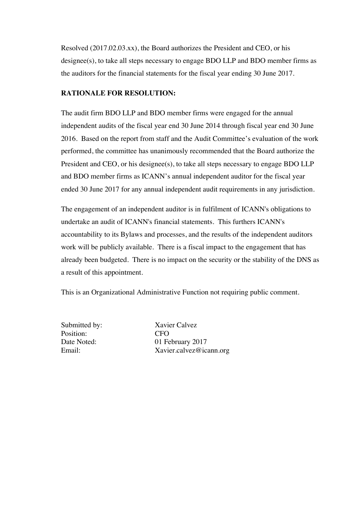Resolved (2017.02.03.xx), the Board authorizes the President and CEO, or his designee(s), to take all steps necessary to engage BDO LLP and BDO member firms as the auditors for the financial statements for the fiscal year ending 30 June 2017.

# **RATIONALE FOR RESOLUTION:**

The audit firm BDO LLP and BDO member firms were engaged for the annual independent audits of the fiscal year end 30 June 2014 through fiscal year end 30 June 2016. Based on the report from staff and the Audit Committee's evaluation of the work performed, the committee has unanimously recommended that the Board authorize the President and CEO, or his designee(s), to take all steps necessary to engage BDO LLP and BDO member firms as ICANN's annual independent auditor for the fiscal year ended 30 June 2017 for any annual independent audit requirements in any jurisdiction.

The engagement of an independent auditor is in fulfilment of ICANN's obligations to undertake an audit of ICANN's financial statements. This furthers ICANN's accountability to its Bylaws and processes, and the results of the independent auditors work will be publicly available. There is a fiscal impact to the engagement that has already been budgeted. There is no impact on the security or the stability of the DNS as a result of this appointment.

This is an Organizational Administrative Function not requiring public comment.

Submitted by: Xavier Calvez Position: CFO<br>Date Noted: 01 Fe

01 February 2017 Email: Xavier.calvez@icann.org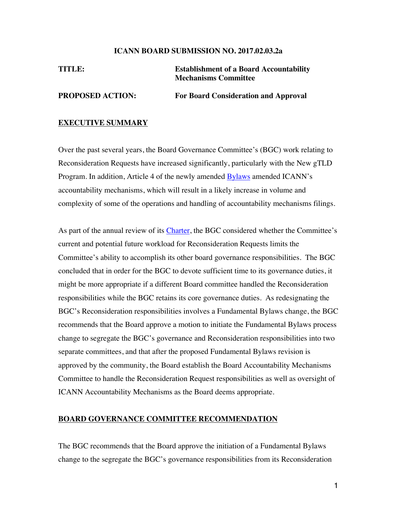#### **ICANN BOARD SUBMISSION NO. 2017.02.03.2a**

| TITLE:                  | <b>Establishment of a Board Accountability</b><br><b>Mechanisms Committee</b> |
|-------------------------|-------------------------------------------------------------------------------|
| <b>PROPOSED ACTION:</b> | <b>For Board Consideration and Approval</b>                                   |

#### **EXECUTIVE SUMMARY**

Over the past several years, the Board Governance Committee's (BGC) work relating to Reconsideration Requests have increased significantly, particularly with the New gTLD Program. In addition, Article 4 of the newly amended Bylaws amended ICANN's accountability mechanisms, which will result in a likely increase in volume and complexity of some of the operations and handling of accountability mechanisms filings.

As part of the annual review of its Charter, the BGC considered whether the Committee's current and potential future workload for Reconsideration Requests limits the Committee's ability to accomplish its other board governance responsibilities. The BGC concluded that in order for the BGC to devote sufficient time to its governance duties, it might be more appropriate if a different Board committee handled the Reconsideration responsibilities while the BGC retains its core governance duties. As redesignating the BGC's Reconsideration responsibilities involves a Fundamental Bylaws change, the BGC recommends that the Board approve a motion to initiate the Fundamental Bylaws process change to segregate the BGC's governance and Reconsideration responsibilities into two separate committees, and that after the proposed Fundamental Bylaws revision is approved by the community, the Board establish the Board Accountability Mechanisms Committee to handle the Reconsideration Request responsibilities as well as oversight of ICANN Accountability Mechanisms as the Board deems appropriate.

#### **BOARD GOVERNANCE COMMITTEE RECOMMENDATION**

The BGC recommends that the Board approve the initiation of a Fundamental Bylaws change to the segregate the BGC's governance responsibilities from its Reconsideration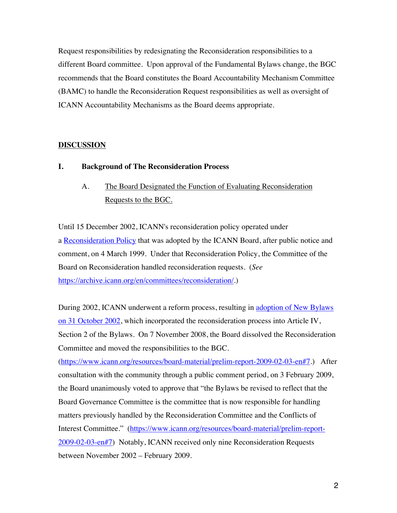Request responsibilities by redesignating the Reconsideration responsibilities to a different Board committee. Upon approval of the Fundamental Bylaws change, the BGC recommends that the Board constitutes the Board Accountability Mechanism Committee (BAMC) to handle the Reconsideration Request responsibilities as well as oversight of ICANN Accountability Mechanisms as the Board deems appropriate.

# **DISCUSSION**

# **I. Background of The Reconsideration Process**

A. The Board Designated the Function of Evaluating Reconsideration Requests to the BGC.

Until 15 December 2002, ICANN's reconsideration policy operated under a Reconsideration Policy that was adopted by the ICANN Board, after public notice and comment, on 4 March 1999. Under that Reconsideration Policy, the Committee of the Board on Reconsideration handled reconsideration requests. (*See*  https://archive.icann.org/en/committees/reconsideration/.)

During 2002, ICANN underwent a reform process, resulting in adoption of New Bylaws on 31 October 2002, which incorporated the reconsideration process into Article IV, Section 2 of the Bylaws. On 7 November 2008, the Board dissolved the Reconsideration Committee and moved the responsibilities to the BGC.

(https://www.icann.org/resources/board-material/prelim-report-2009-02-03-en#7.) After consultation with the community through a public comment period, on 3 February 2009, the Board unanimously voted to approve that "the Bylaws be revised to reflect that the Board Governance Committee is the committee that is now responsible for handling matters previously handled by the Reconsideration Committee and the Conflicts of Interest Committee." (https://www.icann.org/resources/board-material/prelim-report-2009-02-03-en#7) Notably, ICANN received only nine Reconsideration Requests between November 2002 – February 2009.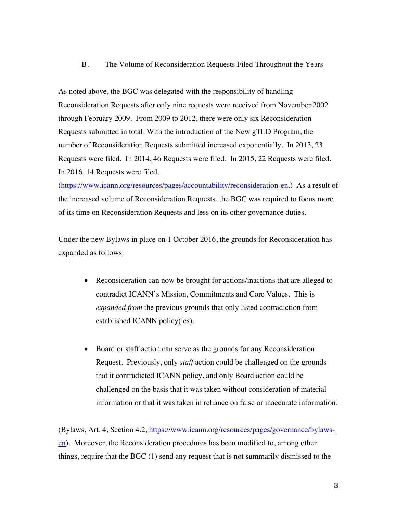#### B. The Volume of Reconsideration Requests Filed Throughout the Years

As noted above, the BGC was delegated with the responsibility of handling Reconsideration Requests after only nine requests were received from November 2002 through February 2009. From 2009 to 2012, there were only six Reconsideration Requests submitted in total. With the introduction of the New gTLD Program, the number of Reconsideration Requests submitted increased exponentially. In 2013, 23 Requests were filed. In 2014, 46 Requests were filed. In 2015, 22 Requests were filed. In 2016, 14 Requests were filed.

(https://www.icann.org/resources/pages/accountability/reconsideration-en.) As a result of the increased volume of Reconsideration Requests, the BGC was required to focus more of its time on Reconsideration Requests and less on its other governance duties.

Under the new Bylaws in place on 1 October 2016, the grounds for Reconsideration has expanded as follows:

- Reconsideration can now be brought for actions/inactions that are alleged to contradict ICANN's Mission, Commitments and Core Values. This is *expanded from* the previous grounds that only listed contradiction from established ICANN policy(ies).
- Board or staff action can serve as the grounds for any Reconsideration Request. Previously, only *staff* action could be challenged on the grounds that it contradicted ICANN policy, and only Board action could be challenged on the basis that it was taken without consideration of material information or that it was taken in reliance on false or inaccurate information.

(Bylaws, Art. 4, Section 4.2, https://www.icann.org/resources/pages/governance/bylawsen). Moreover, the Reconsideration procedures has been modified to, among other things, require that the BGC (1) send any request that is not summarily dismissed to the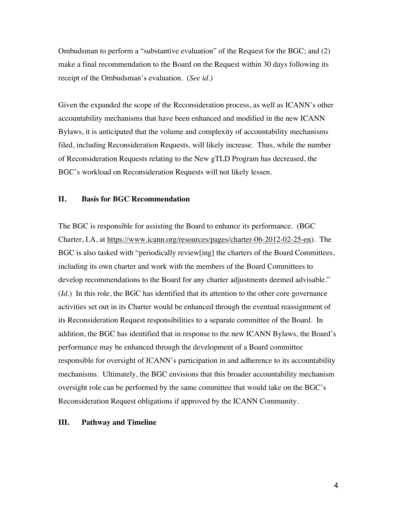Ombudsman to perform a "substantive evaluation" of the Request for the BGC; and (2) make a final recommendation to the Board on the Request within 30 days following its receipt of the Ombudsman's evaluation. (*See id.*)

Given the expanded the scope of the Reconsideration process, as well as ICANN's other accountability mechanisms that have been enhanced and modified in the new ICANN Bylaws, it is anticipated that the volume and complexity of accountability mechanisms filed, including Reconsideration Requests, will likely increase. Thus, while the number of Reconsideration Requests relating to the New gTLD Program has decreased, the BGC's workload on Reconsideration Requests will not likely lessen.

#### **II. Basis for BGC Recommendation**

The BGC is responsible for assisting the Board to enhance its performance. (BGC Charter, I.A, at https://www.icann.org/resources/pages/charter-06-2012-02-25-en). The BGC is also tasked with "periodically review[ing] the charters of the Board Committees, including its own charter and work with the members of the Board Committees to develop recommendations to the Board for any charter adjustments deemed advisable." (*Id*.) In this role, the BGC has identified that its attention to the other core governance activities set out in its Charter would be enhanced through the eventual reassignment of its Reconsideration Request responsibilities to a separate committee of the Board. In addition, the BGC has identified that in response to the new ICANN Bylaws, the Board's performance may be enhanced through the development of a Board committee responsible for oversight of ICANN's participation in and adherence to its accountability mechanisms. Ultimately, the BGC envisions that this broader accountability mechanism oversight role can be performed by the same committee that would take on the BGC's Reconsideration Request obligations if approved by the ICANN Community.

#### **III. Pathway and Timeline**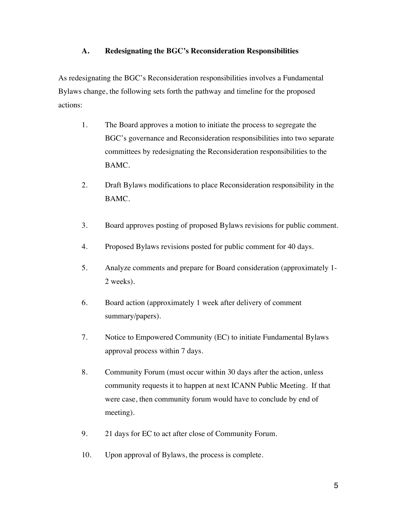# **A. Redesignating the BGC's Reconsideration Responsibilities**

As redesignating the BGC's Reconsideration responsibilities involves a Fundamental Bylaws change, the following sets forth the pathway and timeline for the proposed actions:

- 1. The Board approves a motion to initiate the process to segregate the BGC's governance and Reconsideration responsibilities into two separate committees by redesignating the Reconsideration responsibilities to the BAMC.
- 2. Draft Bylaws modifications to place Reconsideration responsibility in the BAMC.
- 3. Board approves posting of proposed Bylaws revisions for public comment.
- 4. Proposed Bylaws revisions posted for public comment for 40 days.
- 5. Analyze comments and prepare for Board consideration (approximately 1- 2 weeks).
- 6. Board action (approximately 1 week after delivery of comment summary/papers).
- 7. Notice to Empowered Community (EC) to initiate Fundamental Bylaws approval process within 7 days.
- 8. Community Forum (must occur within 30 days after the action, unless community requests it to happen at next ICANN Public Meeting. If that were case, then community forum would have to conclude by end of meeting).
- 9. 21 days for EC to act after close of Community Forum.
- 10. Upon approval of Bylaws, the process is complete.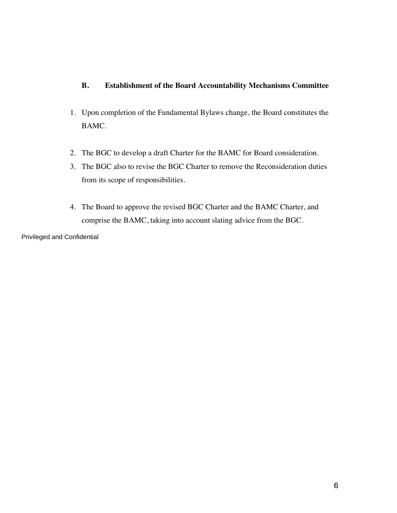# **B. Establishment of the Board Accountability Mechanisms Committee**

- 1. Upon completion of the Fundamental Bylaws change, the Board constitutes the BAMC.
- 2. The BGC to develop a draft Charter for the BAMC for Board consideration.
- 3. The BGC also to revise the BGC Charter to remove the Reconsideration duties from its scope of responsibilities.
- 4. The Board to approve the revised BGC Charter and the BAMC Charter, and comprise the BAMC, taking into account slating advice from the BGC.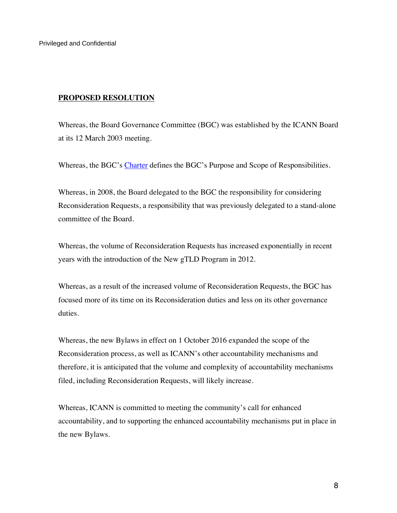Privileged and Confidential

#### **PROPOSED RESOLUTION**

Whereas, the Board Governance Committee (BGC) was established by the ICANN Board at its 12 March 2003 meeting.

Whereas, the BGC's Charter defines the BGC's Purpose and Scope of Responsibilities.

Whereas, in 2008, the Board delegated to the BGC the responsibility for considering Reconsideration Requests, a responsibility that was previously delegated to a stand-alone committee of the Board.

Whereas, the volume of Reconsideration Requests has increased exponentially in recent years with the introduction of the New gTLD Program in 2012.

Whereas, as a result of the increased volume of Reconsideration Requests, the BGC has focused more of its time on its Reconsideration duties and less on its other governance duties.

Whereas, the new Bylaws in effect on 1 October 2016 expanded the scope of the Reconsideration process, as well as ICANN's other accountability mechanisms and therefore, it is anticipated that the volume and complexity of accountability mechanisms filed, including Reconsideration Requests, will likely increase.

Whereas, ICANN is committed to meeting the community's call for enhanced accountability, and to supporting the enhanced accountability mechanisms put in place in the new Bylaws.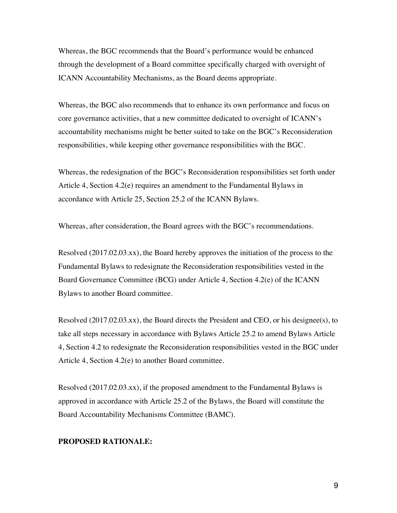Whereas, the BGC recommends that the Board's performance would be enhanced through the development of a Board committee specifically charged with oversight of ICANN Accountability Mechanisms, as the Board deems appropriate.

Whereas, the BGC also recommends that to enhance its own performance and focus on core governance activities, that a new committee dedicated to oversight of ICANN's accountability mechanisms might be better suited to take on the BGC's Reconsideration responsibilities, while keeping other governance responsibilities with the BGC.

Whereas, the redesignation of the BGC's Reconsideration responsibilities set forth under Article 4, Section 4.2(e) requires an amendment to the Fundamental Bylaws in accordance with Article 25, Section 25.2 of the ICANN Bylaws.

Whereas, after consideration, the Board agrees with the BGC's recommendations.

Resolved (2017.02.03.xx), the Board hereby approves the initiation of the process to the Fundamental Bylaws to redesignate the Reconsideration responsibilities vested in the Board Governance Committee (BCG) under Article 4, Section 4.2(e) of the ICANN Bylaws to another Board committee.

Resolved (2017.02.03.xx), the Board directs the President and CEO, or his designee(s), to take all steps necessary in accordance with Bylaws Article 25.2 to amend Bylaws Article 4, Section 4.2 to redesignate the Reconsideration responsibilities vested in the BGC under Article 4, Section 4.2(e) to another Board committee.

Resolved (2017.02.03.xx), if the proposed amendment to the Fundamental Bylaws is approved in accordance with Article 25.2 of the Bylaws, the Board will constitute the Board Accountability Mechanisms Committee (BAMC).

#### **PROPOSED RATIONALE:**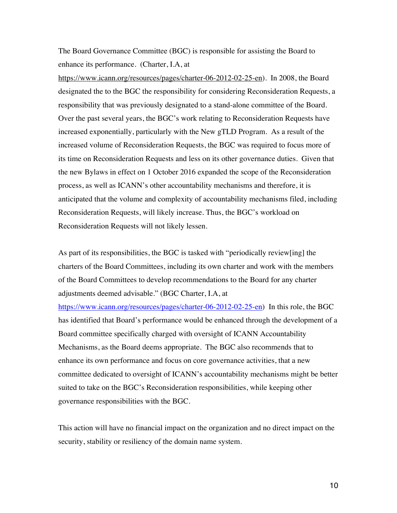The Board Governance Committee (BGC) is responsible for assisting the Board to enhance its performance. (Charter, I.A, at

https://www.icann.org/resources/pages/charter-06-2012-02-25-en). In 2008, the Board designated the to the BGC the responsibility for considering Reconsideration Requests, a responsibility that was previously designated to a stand-alone committee of the Board. Over the past several years, the BGC's work relating to Reconsideration Requests have increased exponentially, particularly with the New gTLD Program. As a result of the increased volume of Reconsideration Requests, the BGC was required to focus more of its time on Reconsideration Requests and less on its other governance duties. Given that the new Bylaws in effect on 1 October 2016 expanded the scope of the Reconsideration process, as well as ICANN's other accountability mechanisms and therefore, it is anticipated that the volume and complexity of accountability mechanisms filed, including Reconsideration Requests, will likely increase. Thus, the BGC's workload on Reconsideration Requests will not likely lessen.

As part of its responsibilities, the BGC is tasked with "periodically review[ing] the charters of the Board Committees, including its own charter and work with the members of the Board Committees to develop recommendations to the Board for any charter adjustments deemed advisable." (BGC Charter, I.A, at

https://www.icann.org/resources/pages/charter-06-2012-02-25-en) In this role, the BGC has identified that Board's performance would be enhanced through the development of a Board committee specifically charged with oversight of ICANN Accountability Mechanisms, as the Board deems appropriate. The BGC also recommends that to enhance its own performance and focus on core governance activities, that a new committee dedicated to oversight of ICANN's accountability mechanisms might be better suited to take on the BGC's Reconsideration responsibilities, while keeping other governance responsibilities with the BGC.

This action will have no financial impact on the organization and no direct impact on the security, stability or resiliency of the domain name system.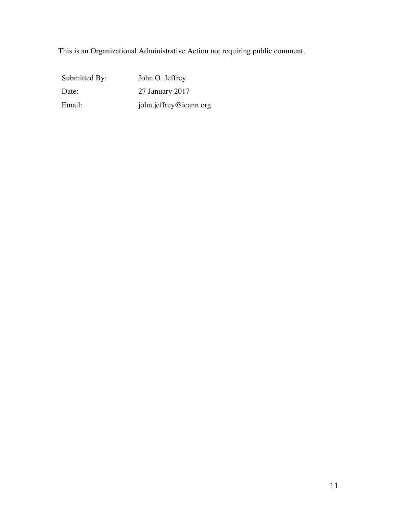This is an Organizational Administrative Action not requiring public comment.

| Submitted By: | John O. Jeffrey        |
|---------------|------------------------|
| Date:         | 27 January 2017        |
| Email:        | john.jeffrey@icann.org |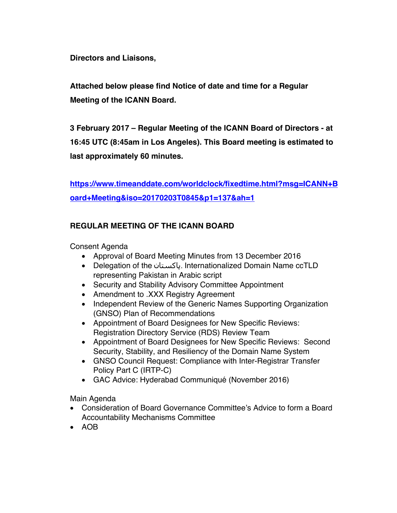**Directors and Liaisons,**

**Attached below please find Notice of date and time for a Regular Meeting of the ICANN Board.** 

**3 February 2017 – Regular Meeting of the ICANN Board of Directors - at 16:45 UTC (8:45am in Los Angeles). This Board meeting is estimated to last approximately 60 minutes.**

**https://www.timeanddate.com/worldclock/fixedtime.html?msg=ICANN+B oard+Meeting&iso=20170203T0845&p1=137&ah=1**

# **REGULAR MEETING OF THE ICANN BOARD**

Consent Agenda

- Approval of Board Meeting Minutes from 13 December 2016
- Delegation of the پاکستان. Internationalized Domain Name ccTLD representing Pakistan in Arabic script
- Security and Stability Advisory Committee Appointment
- Amendment to .XXX Registry Agreement
- Independent Review of the Generic Names Supporting Organization (GNSO) Plan of Recommendations
- Appointment of Board Designees for New Specific Reviews: Registration Directory Service (RDS) Review Team
- Appointment of Board Designees for New Specific Reviews: Second Security, Stability, and Resiliency of the Domain Name System
- GNSO Council Request: Compliance with Inter-Registrar Transfer Policy Part C (IRTP-C)
- GAC Advice: Hyderabad Communiqué (November 2016)

Main Agenda

- Consideration of Board Governance Committee's Advice to form a Board Accountability Mechanisms Committee
- AOB